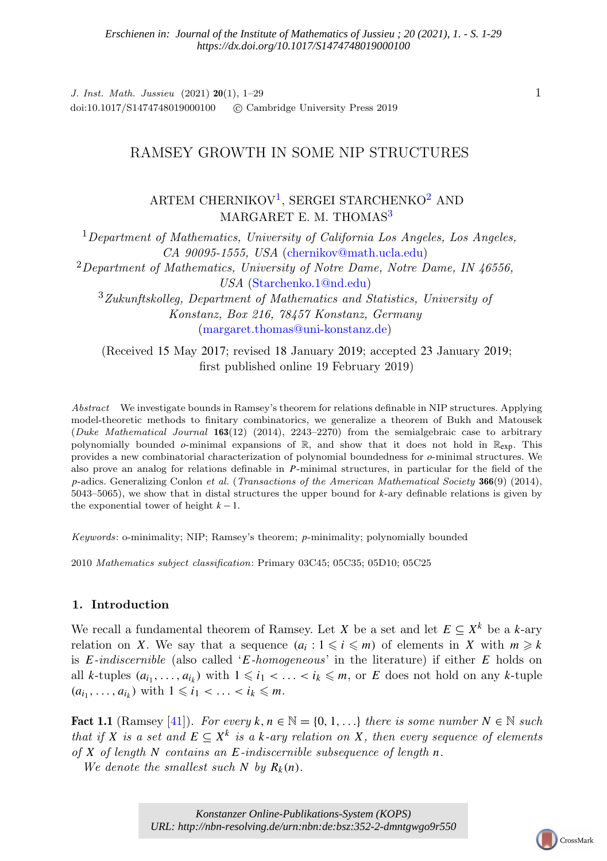J. Inst. Math. Jussieu (2021) 20(1), 1–29 doi:10.1017/S1474748019000100 (C Cambridge University Press 2019

# RAMSEY GROWTH IN SOME NIP STRUCTURES

ARTEM CHERNIKOV<sup>[1](#page-0-0)</sup>, SERGEI STARCHENKO<sup>[2](#page-0-1)</sup> AND MARGARET E. M. THOMAS<sup>[3](#page-0-2)</sup>

<span id="page-0-1"></span><span id="page-0-0"></span> $1$ Department of Mathematics, University of California Los Angeles, Los Angeles, CA 90095-1555, USA [\(chernikov@math.ucla.edu\)](mailto:chernikov@math.ucla.edu)  $2$ Department of Mathematics, University of Notre Dame, Notre Dame, IN 46556, USA [\(Starchenko.1@nd.edu\)](mailto:Starchenko.1@nd.edu) <sup>3</sup>Zukunftskolleg, Department of Mathematics and Statistics, University of Konstanz, Box 216, 78457 Konstanz, Germany [\(margaret.thomas@uni-konstanz.de\)](mailto:margaret.thomas@uni-konstanz.de)

<span id="page-0-2"></span>(Received 15 May 2017; revised 18 January 2019; accepted 23 January 2019; first published online 19 February 2019)

Abstract We investigate bounds in Ramsey's theorem for relations definable in NIP structures. Applying model-theoretic methods to finitary combinatorics, we generalize a theorem of Bukh and Matousek (Duke Mathematical Journal 163(12) (2014), 2243–2270) from the semialgebraic case to arbitrary polynomially bounded  $\rho$ -minimal expansions of  $\mathbb{R}$ , and show that it does not hold in  $\mathbb{R}_{\text{exp}}$ . This provides a new combinatorial characterization of polynomial boundedness for *o*-minimal structures. We also prove an analog for relations definable in *P*-minimal structures, in particular for the field of the *p*-adics. Generalizing Conlon et al. (Transactions of the American Mathematical Society 366(9) (2014), 5043–5065), we show that in distal structures the upper bound for *k*-ary definable relations is given by the exponential tower of height  $k-1$ .

Keywords: o-minimality; NIP; Ramsey's theorem; *p*-minimality; polynomially bounded

2010 Mathematics subject classification: Primary 03C45; 05C35; 05D10; 05C25

# 1. Introduction

We recall a fundamental theorem of Ramsey. Let *X* be a set and let  $E \subseteq X^k$  be a *k*-ary relation on *X*. We say that a sequence  $(a_i : 1 \leq i \leq m)$  of elements in *X* with  $m \geq k$ is *E*-indiscernible (also called '*E*-homogeneous' in the literature) if either *E* holds on all *k*-tuples  $(a_{i_1}, \ldots, a_{i_k})$  with  $1 \leq i_1 < \ldots < i_k \leq m$ , or *E* does not hold on any *k*-tuple  $(a_{i_1}, \ldots, a_{i_k})$  with  $1 \le i_1 < \ldots < i_k \le m$ .

**Fact 1.1** (Ramsey [\[41\]](#page-28-0)). For every  $k, n \in \mathbb{N} = \{0, 1, \ldots\}$  there is some number  $N \in \mathbb{N}$  such that if *X* is a set and  $E \subseteq X^k$  is a *k*-ary relation on *X*, then every sequence of elements of *X* of length *N* contains an *E*-indiscernible subsequence of length *n*.

We denote the smallest such  $N$  by  $R_k(n)$ .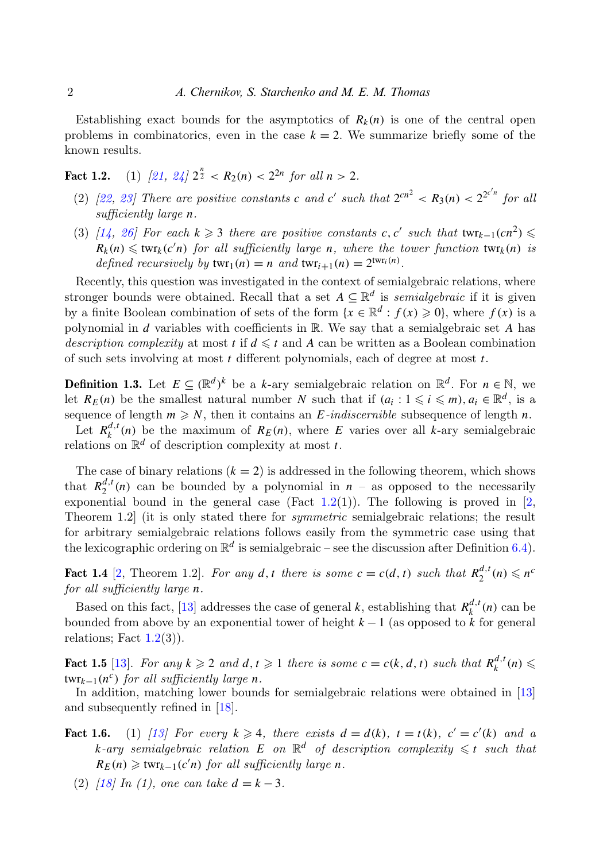Establishing exact bounds for the asymptotics of  $R_k(n)$  is one of the central open problems in combinatorics, even in the case  $k = 2$ . We summarize briefly some of the known results.

<span id="page-1-0"></span>Fact 1.2. (1)  $\left[\frac{21}{3}, \frac{24}{2^{\frac{n}{2}}} < R_2(n) < 2^{2n} \text{ for all } n > 2. \right]$ 

- (2) [\[22,](#page-27-2) [23\]](#page-27-3) There are positive constants *c* and *c'* such that  $2^{cn^2} < R_3(n) < 2^{2^{c'n}}$  for all sufficiently large *n*.
- (3) [\[14,](#page-27-4) [26\]](#page-27-5) For each  $k \geq 3$  there are positive constants *c*, *c'* such that  $\tan x_{k-1}(cn^2) \leq$  $R_k(n) \leq \text{twr}_k(c'n)$  for all sufficiently large *n*, where the tower function  $\text{twr}_k(n)$  is defined recursively by  $\textrm{twr}_1(n) = n$  and  $\textrm{twr}_{i+1}(n) = 2^{\textrm{twr}_i(n)}$ .

Recently, this question was investigated in the context of semialgebraic relations, where stronger bounds were obtained. Recall that a set  $A \subseteq \mathbb{R}^d$  is *semialgebraic* if it is given by a finite Boolean combination of sets of the form  $\{x \in \mathbb{R}^d : f(x) \geq 0\}$ , where  $f(x)$  is a polynomial in *d* variables with coefficients in R. We say that a semialgebraic set *A* has description complexity at most t if  $d \leq t$  and A can be written as a Boolean combination of such sets involving at most *t* different polynomials, each of degree at most *t*.

<span id="page-1-3"></span>**Definition 1.3.** Let  $E \subseteq (\mathbb{R}^d)^k$  be a *k*-ary semialgebraic relation on  $\mathbb{R}^d$ . For  $n \in \mathbb{N}$ , we let  $R_E(n)$  be the smallest natural number *N* such that if  $(a_i : 1 \leq i \leq m)$ ,  $a_i \in \mathbb{R}^d$ , is a sequence of length  $m \geq N$ , then it contains an *E*-indiscernible subsequence of length *n*.

Let  $R_k^{d,t}(n)$  be the maximum of  $R_E(n)$ , where *E* varies over all *k*-ary semialgebraic relations on  $\mathbb{R}^d$  of description complexity at most *t*.

The case of binary relations  $(k = 2)$  is addressed in the following theorem, which shows that  $R_2^{d,t}$  $2^{a,t}(n)$  can be bounded by a polynomial in  $n -$  as opposed to the necessarily exponential bound in the general case (Fact  $1.2(1)$  $1.2(1)$ ). The following is proved in [\[2,](#page-26-0) Theorem 1.2 (it is only stated there for *symmetric* semialgebraic relations; the result for arbitrary semialgebraic relations follows easily from the symmetric case using that the lexicographic ordering on  $\mathbb{R}^d$  is semialgebraic – see the discussion after Definition [6.4\)](#page-23-0).

<span id="page-1-4"></span>Fact 1.4 [\[2,](#page-26-0) Theorem 1.2]. For any d, t there is some  $c = c(d, t)$  such that  $R_2^{d,t}$  $n_2^{d,t}(n) \leq n^c$ for all sufficiently large *n*.

Based on this fact, [\[13\]](#page-26-1) addresses the case of general *k*, establishing that  $R_k^{d,t}(n)$  can be bounded from above by an exponential tower of height *k* − 1 (as opposed to *k* for general relations; Fact  $1.2(3)$  $1.2(3)$ ).

<span id="page-1-2"></span>Fact 1.5 [\[13\]](#page-26-1). For any  $k \geq 2$  and  $d, t \geq 1$  there is some  $c = c(k, d, t)$  such that  $R_k^{d,t}(n) \leq$  $\tanctan\left(\frac{1}{2}n^c\right)$  for all sufficiently large *n*.

In addition, matching lower bounds for semialgebraic relations were obtained in [\[13\]](#page-26-1) and subsequently refined in [\[18\]](#page-27-6).

- <span id="page-1-1"></span>Fact 1.6. (1) [\[13\]](#page-26-1) For every  $k \geq 4$ , there exists  $d = d(k)$ ,  $t = t(k)$ ,  $c' = c'(k)$  and a  $k$ -ary semialgebraic relation  $E$  on  $\mathbb{R}^d$  of description complexity  $\leqslant t$  such that  $R_E(n) \geq \text{twr}_{k-1}(c'n)$  for all sufficiently large *n*.
	- (2)  $\int_0^2 |18| \ln (1)$ , one can take  $d = k 3$ .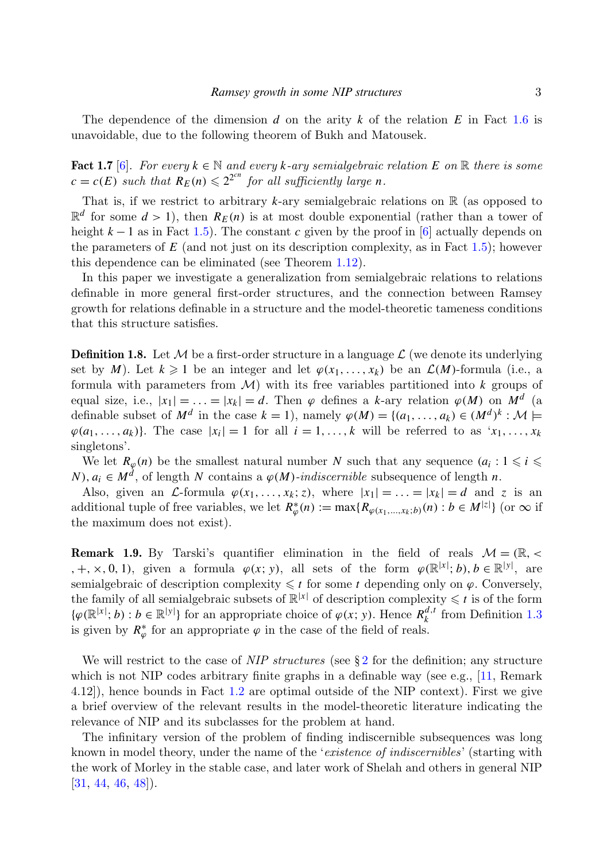The dependence of the dimension *d* on the arity *k* of the relation *E* in Fact [1.6](#page-1-1) is unavoidable, due to the following theorem of Bukh and Matousek.

<span id="page-2-0"></span>Fact 1.7 [\[6\]](#page-26-2). For every  $k \in \mathbb{N}$  and every *k*-ary semialgebraic relation *E* on  $\mathbb{R}$  there is some  $c = c(E)$  such that  $R_E(n) \leq 2^{2cn}$  for all sufficiently large *n*.

That is, if we restrict to arbitrary  $k$ -ary semialgebraic relations on  $\mathbb R$  (as opposed to  $\mathbb{R}^d$  for some  $d > 1$ ), then  $R_E(n)$  is at most double exponential (rather than a tower of height  $k-1$  as in Fact [1.5\)](#page-1-2). The constant *c* given by the proof in [\[6\]](#page-26-2) actually depends on the parameters of  $E$  (and not just on its description complexity, as in Fact [1.5\)](#page-1-2); however this dependence can be eliminated (see Theorem [1.12\)](#page-3-0).

In this paper we investigate a generalization from semialgebraic relations to relations definable in more general first-order structures, and the connection between Ramsey growth for relations definable in a structure and the model-theoretic tameness conditions that this structure satisfies.

**Definition 1.8.** Let M be a first-order structure in a language  $\mathcal{L}$  (we denote its underlying set by *M*). Let  $k \geq 1$  be an integer and let  $\varphi(x_1, \ldots, x_k)$  be an  $\mathcal{L}(M)$ -formula (i.e., a formula with parameters from M) with its free variables partitioned into *k* groups of equal size, i.e.,  $|x_1| = \ldots = |x_k| = d$ . Then  $\varphi$  defines a *k*-ary relation  $\varphi(M)$  on  $M^d$  (a definable subset of  $M^d$  in the case  $k = 1$ ), namely  $\varphi(M) = \{(a_1, \ldots, a_k) \in (M^d)^k : \mathcal{M} \models$  $\varphi(a_1, \ldots, a_k)$ . The case  $|x_i| = 1$  for all  $i = 1, \ldots, k$  will be referred to as  $x_1, \ldots, x_k$ singletons'.

We let  $R_{\varphi}(n)$  be the smallest natural number *N* such that any sequence  $(a_i : 1 \leq i \leq n)$ *N*),  $a_i \in M^d$ , of length *N* contains a  $\varphi(M)$ -indiscernible subsequence of length *n*.

Also, given an L-formula  $\varphi(x_1, \ldots, x_k; z)$ , where  $|x_1| = \ldots = |x_k| = d$  and z is an additional tuple of free variables, we let  $R^*_{\varphi}(n) := \max\{R_{\varphi(x_1,\ldots,x_k;b)}(n) : b \in M^{|z|}\}\$  (or  $\infty$  if the maximum does not exist).

**Remark 1.9.** By Tarski's quantifier elimination in the field of reals  $\mathcal{M} = (\mathbb{R}, \langle$ , +, x, 0, 1), given a formula  $\varphi(x; y)$ , all sets of the form  $\varphi(\mathbb{R}^{|x|}; b)$ ,  $b \in \mathbb{R}^{|y|}$ , are semialgebraic of description complexity  $\leq t$  for some *t* depending only on  $\varphi$ . Conversely, the family of all semialgebraic subsets of  $\mathbb{R}^{|x|}$  of description complexity  $\leq t$  is of the form  $\{\varphi(\mathbb{R}^{|x|}; b) : b \in \mathbb{R}^{|y|}\}\$  for an appropriate choice of  $\varphi(x; y)$ . Hence  $R_k^{d,t}$  from Definition [1.3](#page-1-3) is given by  $R^*_{\varphi}$  for an appropriate  $\varphi$  in the case of the field of reals.

We will restrict to the case of  $NIP$  structures (see § [2](#page-5-0) for the definition; any structure which is not NIP codes arbitrary finite graphs in a definable way (see e.g., [\[11,](#page-26-3) Remark 4.12]), hence bounds in Fact [1.2](#page-1-0) are optimal outside of the NIP context). First we give a brief overview of the relevant results in the model-theoretic literature indicating the relevance of NIP and its subclasses for the problem at hand.

The infinitary version of the problem of finding indiscernible subsequences was long known in model theory, under the name of the 'existence of indiscernibles' (starting with the work of Morley in the stable case, and later work of Shelah and others in general NIP [\[31,](#page-27-7) [44,](#page-28-1) [46,](#page-28-2) [48\]](#page-28-3)).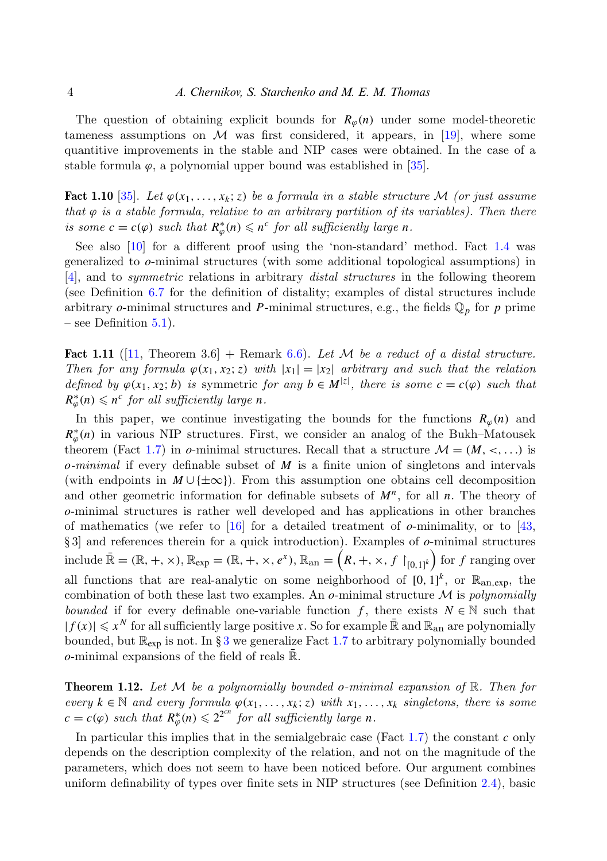The question of obtaining explicit bounds for  $R_\phi(n)$  under some model-theoretic tameness assumptions on  $\mathcal M$  was first considered, it appears, in [\[19\]](#page-27-8), where some quantitive improvements in the stable and NIP cases were obtained. In the case of a stable formula  $\varphi$ , a polynomial upper bound was established in [\[35\]](#page-27-9).

<span id="page-3-2"></span>**Fact 1.10** [\[35\]](#page-27-9). Let  $\varphi(x_1, \ldots, x_k; z)$  be a formula in a stable structure M (or just assume that  $\varphi$  is a stable formula, relative to an arbitrary partition of its variables). Then there is some  $c = c(\varphi)$  such that  $R^*_{\varphi}(n) \leq n^c$  for all sufficiently large *n*.

See also [\[10\]](#page-26-4) for a different proof using the 'non-standard' method. Fact [1.4](#page-1-4) was generalized to *o*-minimal structures (with some additional topological assumptions) in [\[4\]](#page-26-5), and to symmetric relations in arbitrary distal structures in the following theorem (see Definition [6.7](#page-24-0) for the definition of distality; examples of distal structures include arbitrary *o*-minimal structures and *P*-minimal structures, e.g., the fields  $\mathbb{Q}_p$  for *p* prime – see Definition  $5.1$ ).

<span id="page-3-1"></span>**Fact 1.11** ([\[11,](#page-26-3) Theorem 3.6] + Remark [6.6\)](#page-24-1). Let M be a reduct of a distal structure. Then for any formula  $\varphi(x_1, x_2; z)$  with  $|x_1| = |x_2|$  arbitrary and such that the relation defined by  $\varphi(x_1, x_2; b)$  is symmetric for any  $b \in M^{z}$ , there is some  $c = c(\varphi)$  such that  $R^*_{\varphi}(n) \leqslant n^c$  for all sufficiently large *n*.

In this paper, we continue investigating the bounds for the functions  $R_\varphi(n)$  and  $R^*_{\varphi}(n)$  in various NIP structures. First, we consider an analog of the Bukh–Matousek theorem (Fact [1.7\)](#page-2-0) in *o*-minimal structures. Recall that a structure  $\mathcal{M} = (\mathcal{M}, \leq, \ldots)$  is *o*-minimal if every definable subset of *M* is a finite union of singletons and intervals (with endpoints in  $M \cup {\pm \infty}$ ). From this assumption one obtains cell decomposition and other geometric information for definable subsets of  $M<sup>n</sup>$ , for all *n*. The theory of *o*-minimal structures is rather well developed and has applications in other branches of mathematics (we refer to [\[16\]](#page-27-10) for a detailed treatment of *o*-minimality, or to [\[43,](#page-28-4) § 3] and references therein for a quick introduction). Examples of *o*-minimal structures  $\text{include } \mathbb{R} = (\mathbb{R}, +, \times), \mathbb{R}_{\text{exp}} = (\mathbb{R}, +, \times, e^x), \mathbb{R}_{\text{an}} = \left(R, +, \times, f\restriction_{[0,1]^k}\right) \text{for } f \text{ ranging over }$ all functions that are real-analytic on some neighborhood of  $[0, 1]^k$ , or  $\mathbb{R}_{\text{an,exp}}$ , the combination of both these last two examples. An  $o$ -minimal structure  $\mathcal M$  is polynomially bounded if for every definable one-variable function *f*, there exists  $N \in \mathbb{N}$  such that  $|f(x)| \leq x^N$  for all sufficiently large positive *x*. So for example  $\bar{\mathbb{R}}$  and  $\mathbb{R}_{\text{an}}$  are polynomially bounded, but  $\mathbb{R}_{\text{exp}}$  is not. In § [3](#page-7-0) we generalize Fact [1.7](#page-2-0) to arbitrary polynomially bounded  $o$ -minimal expansions of the field of reals  $\mathbb{R}$ .

<span id="page-3-0"></span>Theorem 1.12. Let M be a polynomially bounded *o*-minimal expansion of R. Then for every  $k \in \mathbb{N}$  and every formula  $\varphi(x_1, \ldots, x_k; z)$  with  $x_1, \ldots, x_k$  singletons, there is some  $c = c(\varphi)$  such that  $R^*_{\varphi}(n) \leqslant 2^{2cn}$  for all sufficiently large *n*.

In particular this implies that in the semialgebraic case (Fact [1.7\)](#page-2-0) the constant *c* only depends on the description complexity of the relation, and not on the magnitude of the parameters, which does not seem to have been noticed before. Our argument combines uniform definability of types over finite sets in NIP structures (see Definition [2.4\)](#page-6-0), basic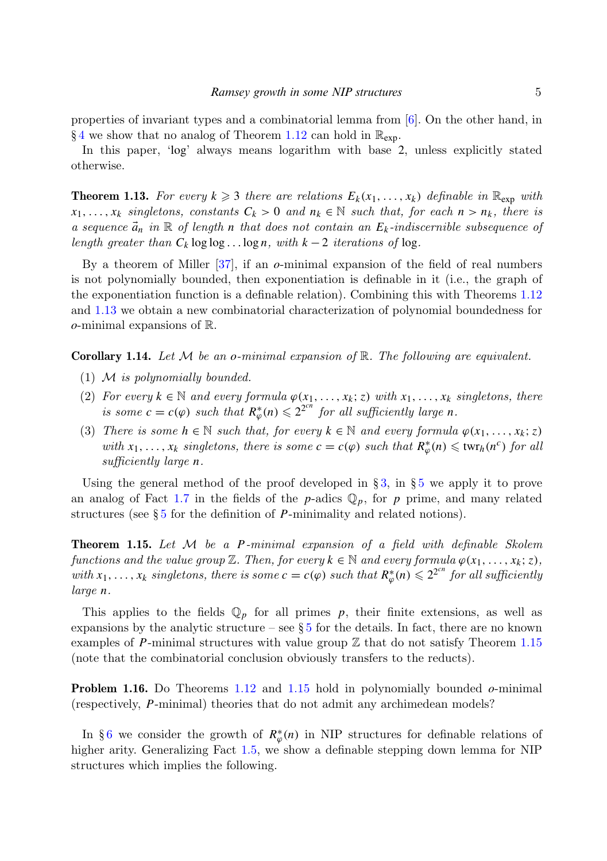properties of invariant types and a combinatorial lemma from  $[6]$ . On the other hand, in §[4](#page-10-0) we show that no analog of Theorem [1.12](#page-3-0) can hold in  $\mathbb{R}_{\text{exp}}$ .

In this paper, 'log' always means logarithm with base 2, unless explicitly stated otherwise.

<span id="page-4-0"></span>**Theorem 1.13.** For every  $k \geq 3$  there are relations  $E_k(x_1, \ldots, x_k)$  definable in  $\mathbb{R}_{\exp}$  with  $x_1, \ldots, x_k$  singletons, constants  $C_k > 0$  and  $n_k \in \mathbb{N}$  such that, for each  $n > n_k$ , there is a sequence  $\vec{a}_n$  in  $\mathbb R$  of length *n* that does not contain an  $E_k$ -indiscernible subsequence of length greater than  $C_k \log \log \ldots \log n$ , with  $k-2$  iterations of log.

By a theorem of Miller [\[37\]](#page-28-5), if an *o*-minimal expansion of the field of real numbers is not polynomially bounded, then exponentiation is definable in it (i.e., the graph of the exponentiation function is a definable relation). Combining this with Theorems [1.12](#page-3-0) and [1.13](#page-4-0) we obtain a new combinatorial characterization of polynomial boundedness for *o*-minimal expansions of R.

Corollary 1.14. Let M be an *o*-minimal expansion of R. The following are equivalent.

- (1)  $M$  is polynomially bounded.
- (2) For every  $k \in \mathbb{N}$  and every formula  $\varphi(x_1, \ldots, x_k; z)$  with  $x_1, \ldots, x_k$  singletons, there is some  $c = c(\varphi)$  such that  $R^*_{\varphi}(n) \leq 2^{2cn}$  for all sufficiently large *n*.
- (3) There is some  $h \in \mathbb{N}$  such that, for every  $k \in \mathbb{N}$  and every formula  $\varphi(x_1, \ldots, x_k; z)$ with  $x_1, \ldots, x_k$  singletons, there is some  $c = c(\varphi)$  such that  $R^*_{\varphi}(n) \leq \text{twr}_h(n^c)$  for all sufficiently large *n*.

Using the general method of the proof developed in  $\S 3$ , in  $\S 5$  $\S 5$  we apply it to prove an analog of Fact [1.7](#page-2-0) in the fields of the  $p$ -adics  $\mathbb{Q}_p$ , for  $p$  prime, and many related structures (see § [5](#page-15-0) for the definition of *P*-minimality and related notions).

<span id="page-4-1"></span>Theorem 1.15. Let M be a *P*-minimal expansion of a field with definable Skolem functions and the value group  $\mathbb{Z}$ . Then, for every  $k \in \mathbb{N}$  and every formula  $\varphi(x_1, \ldots, x_k; z)$ , with  $x_1, \ldots, x_k$  singletons, there is some  $c = c(\varphi)$  such that  $R^*_{\varphi}(n) \leq 2^{2^{cn}}$  for all sufficiently large *n*.

This applies to the fields  $\mathbb{Q}_p$  for all primes p, their finite extensions, as well as expansions by the analytic structure – see  $\S 5$  $\S 5$  for the details. In fact, there are no known examples of P-minimal structures with value group  $\mathbb Z$  that do not satisfy Theorem [1.15](#page-4-1) (note that the combinatorial conclusion obviously transfers to the reducts).

Problem 1.16. Do Theorems [1.12](#page-3-0) and [1.15](#page-4-1) hold in polynomially bounded *o*-minimal (respectively, *P*-minimal) theories that do not admit any archimedean models?

In §[6](#page-21-0) we consider the growth of  $R^*_{\varphi}(n)$  in NIP structures for definable relations of higher arity. Generalizing Fact [1.5,](#page-1-2) we show a definable stepping down lemma for NIP structures which implies the following.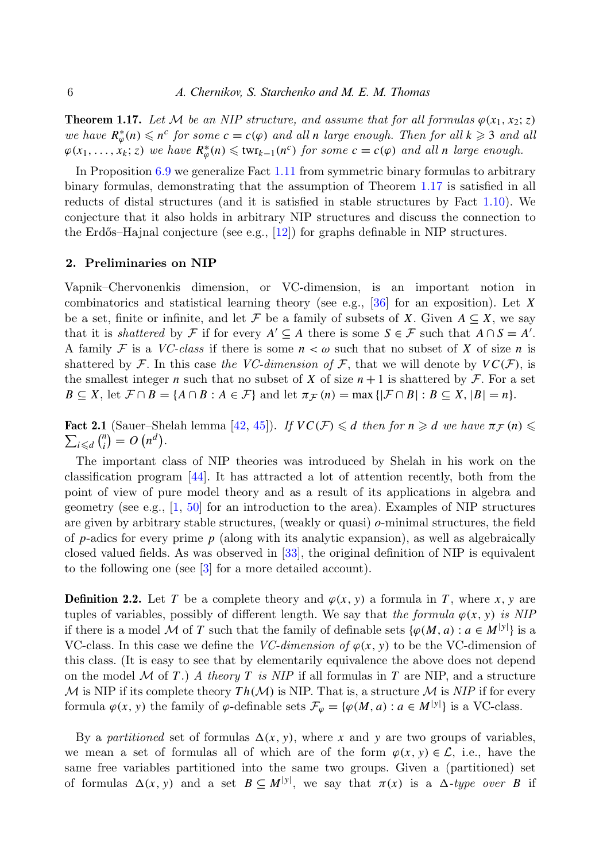<span id="page-5-1"></span>**Theorem 1.17.** Let M be an NIP structure, and assume that for all formulas  $\varphi(x_1, x_2; z)$ we have  $R^*_{\varphi}(n) \leq n^c$  for some  $c = c(\varphi)$  and all *n* large enough. Then for all  $k \geq 3$  and all  $\varphi(x_1, \ldots, x_k; z)$  we have  $R^*_{\varphi}(n) \leq \text{twr}_{k-1}(n^c)$  for some  $c = c(\varphi)$  and all *n* large enough.

In Proposition [6.9](#page-24-2) we generalize Fact [1.11](#page-3-1) from symmetric binary formulas to arbitrary binary formulas, demonstrating that the assumption of Theorem [1.17](#page-5-1) is satisfied in all reducts of distal structures (and it is satisfied in stable structures by Fact [1.10\)](#page-3-2). We conjecture that it also holds in arbitrary NIP structures and discuss the connection to the Erdős–Hajnal conjecture (see e.g.,  $[12]$ ) for graphs definable in NIP structures.

## <span id="page-5-0"></span>2. Preliminaries on NIP

Vapnik–Chervonenkis dimension, or VC-dimension, is an important notion in combinatorics and statistical learning theory (see e.g., [\[36\]](#page-27-11) for an exposition). Let *X* be a set, finite or infinite, and let F be a family of subsets of X. Given  $A \subseteq X$ , we say that it is *shattered* by  $\mathcal{F}$  if for every  $A' \subseteq A$  there is some  $S \in \mathcal{F}$  such that  $A \cap S = A'$ . A family F is a VC-class if there is some  $n < \omega$  such that no subset of X of size n is shattered by F. In this case the VC-dimension of F, that we will denote by  $VC(F)$ , is the smallest integer *n* such that no subset of *X* of size  $n+1$  is shattered by *F*. For a set  $B \subseteq X$ , let  $\mathcal{F} \cap B = \{A \cap B : A \in \mathcal{F}\}\$ and let  $\pi_{\mathcal{F}}(n) = \max\{|\mathcal{F} \cap B| : B \subseteq X, |B| = n\}.$ 

 $\sum_{i \leq d} {n \choose i}$ Fact 2.1 (Sauer–Shelah lemma [\[42,](#page-28-6) [45\]](#page-28-7)). If  $VC(F) \leq d$  then for  $n \geq d$  we have  $\pi_F(n) \leq$  $\binom{n}{i} = O(n^d).$ 

The important class of NIP theories was introduced by Shelah in his work on the classification program [\[44\]](#page-28-1). It has attracted a lot of attention recently, both from the point of view of pure model theory and as a result of its applications in algebra and geometry (see e.g.,  $\left[1, 50\right]$  $\left[1, 50\right]$  $\left[1, 50\right]$  for an introduction to the area). Examples of NIP structures are given by arbitrary stable structures, (weakly or quasi) *o*-minimal structures, the field of *p*-adics for every prime *p* (along with its analytic expansion), as well as algebraically closed valued fields. As was observed in  $\vert 33 \vert$ , the original definition of NIP is equivalent to the following one (see [\[3\]](#page-26-8) for a more detailed account).

**Definition 2.2.** Let *T* be a complete theory and  $\varphi(x, y)$  a formula in *T*, where *x*, *y* are tuples of variables, possibly of different length. We say that the formula  $\varphi(x, y)$  is NIP if there is a model M of *T* such that the family of definable sets  $\{\varphi(M, a) : a \in M^{[y]}\}\)$  is a VC-class. In this case we define the *VC-dimension of*  $\varphi(x, y)$  to be the VC-dimension of this class. (It is easy to see that by elementarily equivalence the above does not depend on the model  $M$  of  $T$ .) A theory  $T$  is NIP if all formulas in  $T$  are NIP, and a structure  $M$  is NIP if its complete theory  $Th(M)$  is NIP. That is, a structure M is NIP if for every formula  $\varphi(x, y)$  the family of  $\varphi$ -definable sets  $\mathcal{F}_{\varphi} = {\varphi(M, a) : a \in M^{|y|}}$  is a VC-class.

By a partitioned set of formulas  $\Delta(x, y)$ , where x and y are two groups of variables, we mean a set of formulas all of which are of the form  $\varphi(x, y) \in \mathcal{L}$ , i.e., have the same free variables partitioned into the same two groups. Given a (partitioned) set of formulas  $\Delta(x, y)$  and a set  $B \subseteq M^{|y|}$ , we say that  $\pi(x)$  is a  $\Delta$ -type over *B* if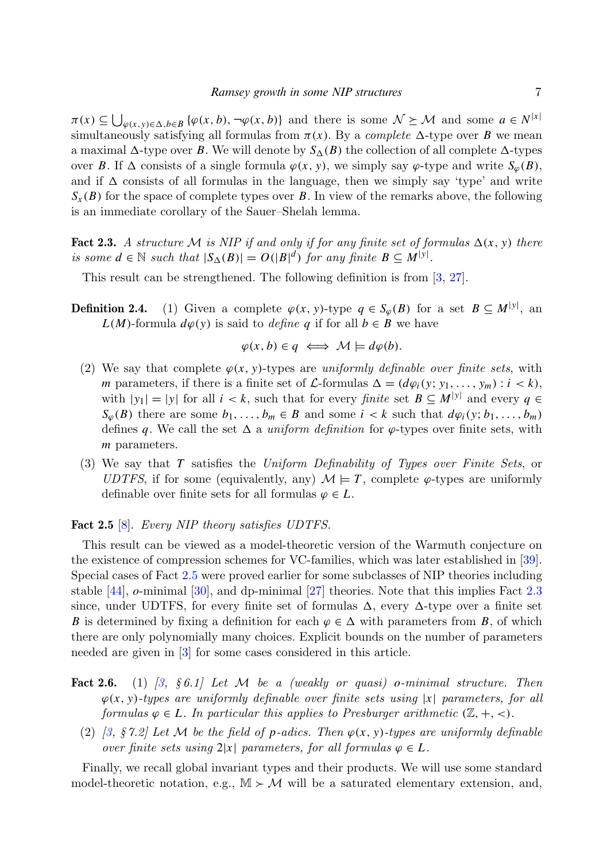$\pi(x) \subseteq \bigcup_{\varphi(x,y)\in\Delta, b\in B} \{\varphi(x,b), \neg \varphi(x,b)\}\$ and there is some  $\mathcal{N} \succeq \mathcal{M}$  and some  $a \in N^{|x|}$ simultaneously satisfying all formulas from  $\pi(x)$ . By a *complete*  $\Delta$ -type over *B* we mean a maximal  $\Delta$ -type over *B*. We will denote by  $S_{\Delta}(B)$  the collection of all complete  $\Delta$ -types over *B*. If  $\Delta$  consists of a single formula  $\varphi(x, y)$ , we simply say  $\varphi$ -type and write  $S_{\varphi}(B)$ , and if  $\Delta$  consists of all formulas in the language, then we simply say 'type' and write  $S_{\rm r}(B)$  for the space of complete types over *B*. In view of the remarks above, the following is an immediate corollary of the Sauer–Shelah lemma.

<span id="page-6-2"></span>Fact 2.3. A structure M is NIP if and only if for any finite set of formulas  $\Delta(x, y)$  there is some  $d \in \mathbb{N}$  such that  $|S_{\Delta}(B)| = O(|B|^d)$  for any finite  $B \subseteq M^{|y|}$ .

<span id="page-6-0"></span>This result can be strengthened. The following definition is from [\[3,](#page-26-8) [27\]](#page-27-13).

**Definition 2.4.** (1) Given a complete  $\varphi(x, y)$ -type  $q \in S_{\varphi}(B)$  for a set  $B \subseteq M^{|y|}$ , and *L*(*M*)-formula  $d\varphi$ (*y*) is said to *define q* if for all *b* ∈ *B* we have

$$
\varphi(x, b) \in q \iff \mathcal{M} \models d\varphi(b).
$$

- (2) We say that complete  $\varphi(x, y)$ -types are *uniformly definable over finite sets*, with *m* parameters, if there is a finite set of  $\mathcal{L}$ -formulas  $\Delta = (d\varphi_i(y; y_1, \ldots, y_m) : i < k),$ with  $|y_1| = |y|$  for all  $i < k$ , such that for every *finite* set  $B \subseteq M^{|y|}$  and every  $q \in$  $S_{\varphi}(B)$  there are some  $b_1, \ldots, b_m \in B$  and some  $i < k$  such that  $d\varphi_i(y; b_1, \ldots, b_m)$ defines q. We call the set  $\Delta$  a uniform definition for  $\varphi$ -types over finite sets, with *m* parameters.
- (3) We say that *T* satisfies the Uniform Definability of Types over Finite Sets, or UDTFS, if for some (equivalently, any)  $\mathcal{M} \models T$ , complete  $\varphi$ -types are uniformly definable over finite sets for all formulas  $\varphi \in L$ .

## <span id="page-6-1"></span>Fact 2.5 [\[8\]](#page-26-9). Every NIP theory satisfies UDTFS.

This result can be viewed as a model-theoretic version of the Warmuth conjecture on the existence of compression schemes for VC-families, which was later established in [\[39\]](#page-28-9). Special cases of Fact [2.5](#page-6-1) were proved earlier for some subclasses of NIP theories including stable [\[44\]](#page-28-1), *o*-minimal [\[30\]](#page-27-14), and dp-minimal [\[27\]](#page-27-13) theories. Note that this implies Fact [2.3](#page-6-2) since, under UDTFS, for every finite set of formulas  $\Delta$ , every  $\Delta$ -type over a finite set *B* is determined by fixing a definition for each  $\varphi \in \Delta$  with parameters from *B*, of which there are only polynomially many choices. Explicit bounds on the number of parameters needed are given in [\[3\]](#page-26-8) for some cases considered in this article.

- <span id="page-6-3"></span>**Fact 2.6.** (1)  $\begin{bmatrix} 3, & 6 & 6 & 1 \end{bmatrix}$  Let M be a (weakly or quasi) o-minimal structure. Then  $\varphi(x, y)$ -types are uniformly definable over finite sets using |x| parameters, for all formulas  $\varphi \in L$ . In particular this applies to Presburger arithmetic  $(\mathbb{Z}, +, <)$ .
	- (2) [\[3,](#page-26-8)  $\zeta$  7.2] Let M be the field of *p*-adics. Then  $\varphi(x, y)$ -types are uniformly definable over finite sets using  $2|x|$  parameters, for all formulas  $\varphi \in L$ .

Finally, we recall global invariant types and their products. We will use some standard model-theoretic notation, e.g.,  $\mathbb{M} \succ \mathcal{M}$  will be a saturated elementary extension, and,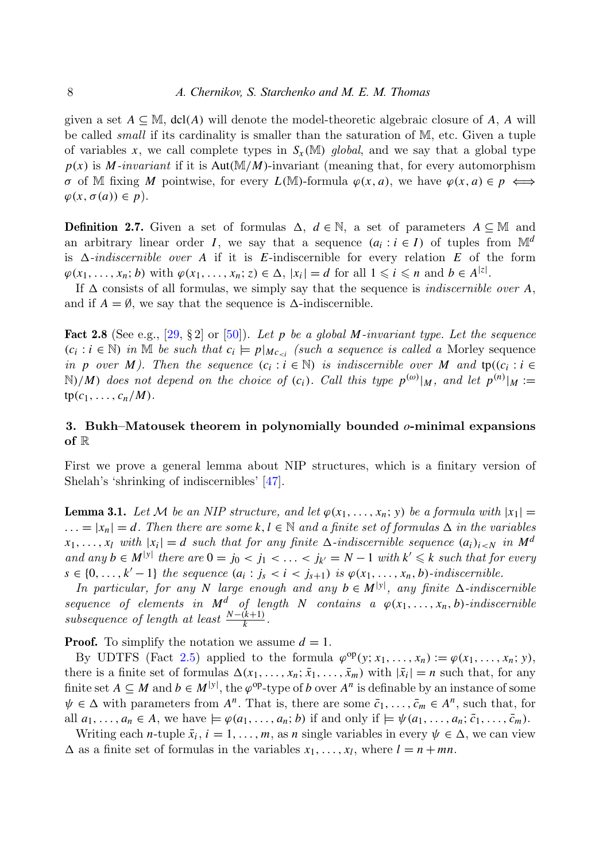given a set  $A \subseteq M$ , dcl(*A*) will denote the model-theoretic algebraic closure of *A*, *A* will be called small if its cardinality is smaller than the saturation of M, etc. Given a tuple of variables x, we call complete types in  $S_x(M)$  global, and we say that a global type  $p(x)$  is *M*-invariant if it is Aut( $M/M$ )-invariant (meaning that, for every automorphism *σ* of M fixing *M* pointwise, for every *L*(M)-formula *ϕ*(*x*, *a*), we have *ϕ*(*x*, *a*) ∈ *p*  $\Longleftrightarrow$  $\varphi(x, \sigma(a)) \in p$ ).

**Definition 2.7.** Given a set of formulas  $\Delta$ ,  $d \in \mathbb{N}$ , a set of parameters  $A \subseteq \mathbb{M}$  and an arbitrary linear order *I*, we say that a sequence  $(a_i : i \in I)$  of tuples from  $\mathbb{M}^d$ is  $\Delta$ -indiscernible over *A* if it is *E*-indiscernible for every relation *E* of the form  $\varphi(x_1, \ldots, x_n; b)$  with  $\varphi(x_1, \ldots, x_n; z) \in \Delta, |x_i| = d$  for all  $1 \leq i \leq n$  and  $b \in A^{|z|}$ .

If  $\Delta$  consists of all formulas, we simply say that the sequence is *indiscernible over*  $A$ , and if  $A = \emptyset$ , we say that the sequence is  $\Delta$ -indiscernible.

<span id="page-7-1"></span>**Fact 2.8** (See e.g., [\[29,](#page-27-15) § 2] or [\[50\]](#page-28-8)). Let p be a global M-invariant type. Let the sequence  $(c_i : i \in \mathbb{N})$  in M be such that  $c_i \models p|_{Mc_{\leq i}}$  (such a sequence is called a Morley sequence in *p* over *M*). Then the sequence  $(c_i : i \in \mathbb{N})$  is indiscernible over *M* and  $tp((c_i : i \in \mathbb{N}))$  $\mathbb{N}/M$ ) does not depend on the choice of  $(c_i)$ . Call this type  $p^{(\omega)}|_M$ , and let  $p^{(n)}|_M :=$  $\text{tp}(c_1, \ldots, c_n/M).$ 

# <span id="page-7-0"></span>3. Bukh–Matousek theorem in polynomially bounded *o*-minimal expansions of R

First we prove a general lemma about NIP structures, which is a finitary version of Shelah's 'shrinking of indiscernibles' [\[47\]](#page-28-10).

<span id="page-7-2"></span>**Lemma 3.1.** Let M be an NIP structure, and let  $\varphi(x_1, \ldots, x_n; y)$  be a formula with  $|x_1|$  =  $\ldots = |x_n| = d$ . Then there are some  $k, l \in \mathbb{N}$  and a finite set of formulas  $\Delta$  in the variables  $x_1, \ldots, x_l$  with  $|x_i| = d$  such that for any finite  $\Delta$ -indiscernible sequence  $(a_i)_{i \le N}$  in  $M^d$ and any  $b \in M^{|\mathcal{Y}|}$  there are  $0 = j_0 < j_1 < \ldots < j_{k'} = N-1$  with  $k' \leq k$  such that for every  $s \in \{0, \ldots, k' - 1\}$  the sequence  $(a_i : j_s < i < j_{s+1})$  is  $\varphi(x_1, \ldots, x_n, b)$ -indiscernible.

In particular, for any *N* large enough and any  $b \in M^{y}$ , any finite  $\Delta$ -indiscernible sequence of elements in  $M^d$  of length *N* contains a  $\varphi(x_1, \ldots, x_n, b)$ -indiscernible subsequence of length at least  $\frac{N-(k+1)}{k}$ .

**Proof.** To simplify the notation we assume  $d = 1$ .

By UDTFS (Fact [2.5\)](#page-6-1) applied to the formula  $\varphi^{\text{op}}(y; x_1, \ldots, x_n) := \varphi(x_1, \ldots, x_n; y)$ , there is a finite set of formulas  $\Delta(x_1, \ldots, x_n; \bar{x}_1, \ldots, \bar{x}_m)$  with  $|\bar{x}_i| = n$  such that, for any finite set  $A \subseteq M$  and  $b \in M^{|y|}$ , the  $\varphi^{op}$ -type of *b* over  $A^n$  is definable by an instance of some  $\psi \in \Delta$  with parameters from  $A^n$ . That is, there are some  $\bar{c}_1, \ldots, \bar{c}_m \in A^n$ , such that, for all  $a_1, \ldots, a_n \in A$ , we have  $\models \varphi(a_1, \ldots, a_n; b)$  if and only if  $\models \psi(a_1, \ldots, a_n; \bar{c}_1, \ldots, \bar{c}_m)$ .

Writing each *n*-tuple  $\bar{x}_i$ ,  $i = 1, ..., m$ , as *n* single variables in every  $\psi \in \Delta$ , we can view  $\Delta$  as a finite set of formulas in the variables  $x_1, \ldots, x_l$ , where  $l = n + mn$ .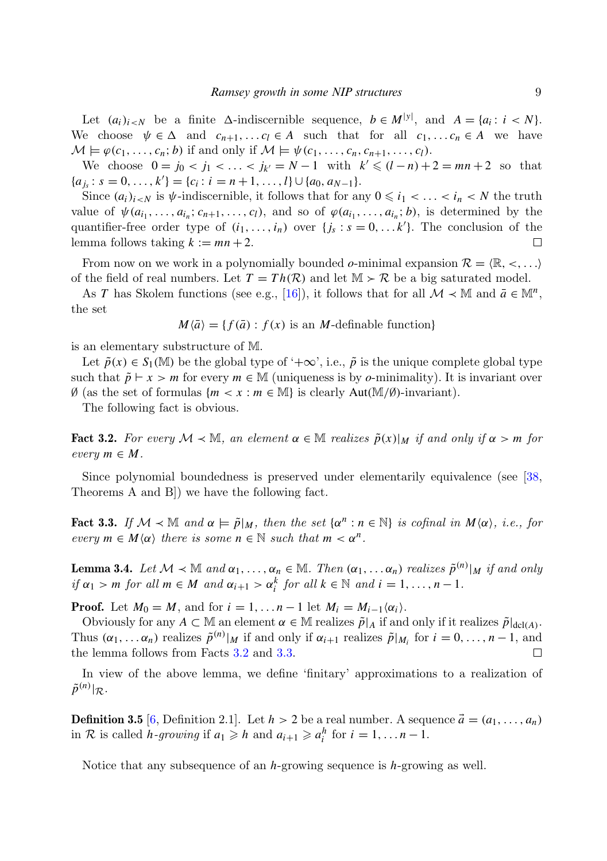Let  $(a_i)_{i \le N}$  be a finite  $\Delta$ -indiscernible sequence,  $b \in M^{|y|}$ , and  $A = \{a_i : i \le N\}$ . We choose  $\psi \in \Delta$  and  $c_{n+1}, \ldots c_l \in A$  such that for all  $c_1, \ldots c_n \in A$  we have  $\mathcal{M} \models \varphi(c_1, \ldots, c_n; b)$  if and only if  $\mathcal{M} \models \psi(c_1, \ldots, c_n, c_{n+1}, \ldots, c_l)$ .

We choose  $0 = j_0 < j_1 < ... < j_{k'} = N - 1$  with  $k' \leq (l - n) + 2 = mn + 2$  so that  ${a_j : s = 0, \ldots, k'} = {c_i : i = n+1, \ldots, l} \cup {a_0, a_{N-1}}.$ 

Since  $(a_i)_{i\leq N}$  is  $\psi$ -indiscernible, it follows that for any  $0 \leq i_1 < \ldots < i_n < N$  the truth value of  $\psi(a_{i_1}, \ldots, a_{i_n}; c_{n+1}, \ldots, c_l)$ , and so of  $\varphi(a_{i_1}, \ldots, a_{i_n}; b)$ , is determined by the quantifier-free order type of  $(i_1, \ldots, i_n)$  over  $\{j_s : s = 0, \ldots k'\}$ . The conclusion of the lemma follows taking  $k := mn + 2$ . П

From now on we work in a polynomially bounded *o*-minimal expansion  $\mathcal{R} = \{ \mathbb{R}, \langle \cdot, \ldots \rangle \}$ of the field of real numbers. Let  $T = Th(R)$  and let  $M > R$  be a big saturated model.

As *T* has Skolem functions (see e.g., [\[16\]](#page-27-10)), it follows that for all  $\mathcal{M} \prec \mathbb{M}$  and  $\bar{a} \in \mathbb{M}^n$ , the set

$$
M\langle \bar{a} \rangle = \{ f(\bar{a}) : f(x) \text{ is an } M \text{-definable function} \}
$$

is an elementary substructure of M.

Let  $\tilde{p}(x) \in S_1(\mathbb{M})$  be the global type of ' $+\infty$ ', i.e.,  $\tilde{p}$  is the unique complete global type such that  $\tilde{p} \vdash x > m$  for every  $m \in \mathbb{M}$  (uniqueness is by *o*-minimality). It is invariant over  $\emptyset$  (as the set of formulas  $\{m \leq x : m \in \mathbb{M}\}\$ is clearly Aut $(\mathbb{M}/\emptyset)$ -invariant).

<span id="page-8-0"></span>The following fact is obvious.

Fact 3.2. For every  $\mathcal{M} \prec \mathbb{M}$ , an element  $\alpha \in \mathbb{M}$  realizes  $\tilde{p}(x)|_M$  if and only if  $\alpha > m$  for  $every \, m \in M$ .

Since polynomial boundedness is preserved under elementarily equivalence (see [\[38,](#page-28-11) Theorems A and B]) we have the following fact.

<span id="page-8-1"></span>Fact 3.3. If  $M \lt M$  and  $\alpha \models \tilde{p}|_M$ , then the set  $\{\alpha^n : n \in \mathbb{N}\}\$ is cofinal in  $M(\alpha)$ , i.e., for every  $m \in M\langle \alpha \rangle$  there is some  $n \in \mathbb{N}$  such that  $m < \alpha^n$ .

<span id="page-8-2"></span>**Lemma 3.4.** Let  $M \prec \mathbb{M}$  and  $\alpha_1, \ldots, \alpha_n \in \mathbb{M}$ . Then  $(\alpha_1, \ldots, \alpha_n)$  realizes  $\tilde{p}^{(n)}|_M$  if and only if  $\alpha_1 > m$  for all  $m \in M$  and  $\alpha_{i+1} > \alpha_i^k$  for all  $k \in \mathbb{N}$  and  $i = 1, ..., n - 1$ .

**Proof.** Let  $M_0 = M$ , and for  $i = 1, \ldots n-1$  let  $M_i = M_{i-1}\langle \alpha_i \rangle$ .

Obviously for any  $A \subset \mathbb{M}$  an element  $\alpha \in \mathbb{M}$  realizes  $\tilde{p}|_A$  if and only if it realizes  $\tilde{p}|_{dcl(A)}$ . Thus  $(\alpha_1, \ldots, \alpha_n)$  realizes  $\tilde{p}^{(n)}|_M$  if and only if  $\alpha_{i+1}$  realizes  $\tilde{p}|_{M_i}$  for  $i = 0, \ldots, n-1$ , and the lemma follows from Facts [3.2](#page-8-0) and [3.3.](#page-8-1)  $\Box$ 

In view of the above lemma, we define 'finitary' approximations to a realization of  $\tilde{p}^{(n)}|_{\mathcal{R}}.$ 

**Definition 3.5** [\[6,](#page-26-2) Definition 2.1]. Let  $h > 2$  be a real number. A sequence  $\vec{a} = (a_1, \ldots, a_n)$ in R is called *h*-growing if  $a_1 \geq h$  and  $a_{i+1} \geq a_i^h$  for  $i = 1, ..., n-1$ .

<span id="page-8-3"></span>Notice that any subsequence of an *h*-growing sequence is *h*-growing as well.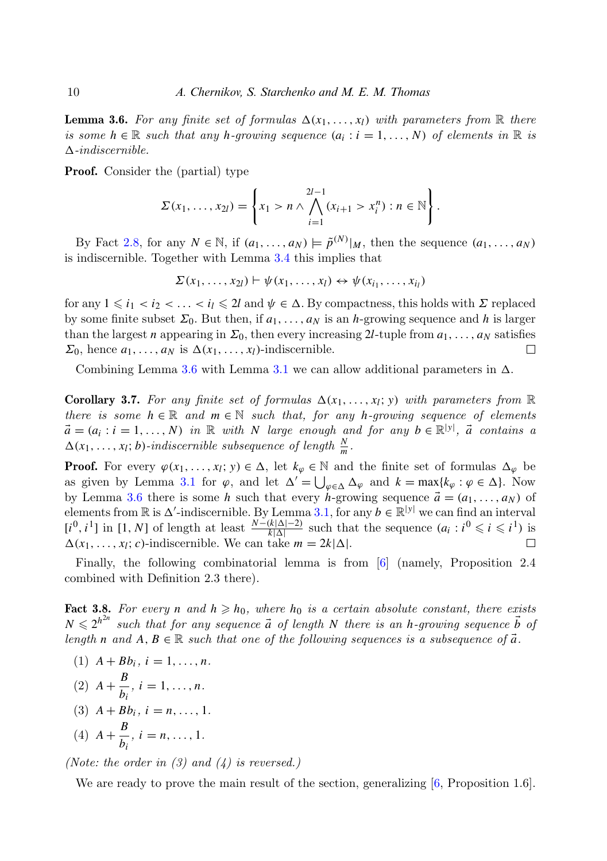**Lemma 3.6.** For any finite set of formulas  $\Delta(x_1, \ldots, x_l)$  with parameters from R there is some  $h \in \mathbb{R}$  such that any *h*-growing sequence  $(a_i : i = 1, ..., N)$  of elements in  $\mathbb{R}$  is  $\Delta$ -indiscernible.

Proof. Consider the (partial) type

$$
\Sigma(x_1, ..., x_{2l}) = \left\{ x_1 > n \wedge \bigwedge_{i=1}^{2l-1} (x_{i+1} > x_i^n) : n \in \mathbb{N} \right\}.
$$

By Fact [2.8,](#page-7-1) for any  $N \in \mathbb{N}$ , if  $(a_1, \ldots, a_N) \models \tilde{p}^{(N)}|_M$ , then the sequence  $(a_1, \ldots, a_N)$ is indiscernible. Together with Lemma [3.4](#page-8-2) this implies that

$$
\Sigma(x_1,\ldots,x_{2l})\vdash \psi(x_1,\ldots,x_l)\leftrightarrow \psi(x_{i_1},\ldots,x_{i_l})
$$

for any  $1 \leq i_1 < i_2 < \ldots < i_l \leq 2l$  and  $\psi \in \Delta$ . By compactness, this holds with  $\Sigma$  replaced by some finite subset  $\Sigma_0$ . But then, if  $a_1, \ldots, a_N$  is an *h*-growing sequence and *h* is larger than the largest *n* appearing in  $\Sigma_0$ , then every increasing 2*l*-tuple from  $a_1, \ldots, a_N$  satisfies  $\Sigma_0$ , hence  $a_1, \ldots, a_N$  is  $\Delta(x_1, \ldots, x_l)$ -indiscernible.  $\Box$ 

<span id="page-9-0"></span>Combining Lemma [3.6](#page-8-3) with Lemma [3.1](#page-7-2) we can allow additional parameters in  $\Delta$ .

**Corollary 3.7.** For any finite set of formulas  $\Delta(x_1, \ldots, x_l; y)$  with parameters from  $\mathbb{R}$ there is some  $h \in \mathbb{R}$  and  $m \in \mathbb{N}$  such that, for any *h*-growing sequence of elements  $\vec{a} = (a_i : i = 1, ..., N)$  in R with *N* large enough and for any  $b \in \mathbb{R}^{|y|}$ ,  $\vec{a}$  contains a  $\Delta(x_1, \ldots, x_l; b)$ -indiscernible subsequence of length  $\frac{N}{m}$ .

**Proof.** For every  $\varphi(x_1, \ldots, x_l; y) \in \Delta$ , let  $k_{\varphi} \in \mathbb{N}$  and the finite set of formulas  $\Delta_{\varphi}$  be as given by Lemma [3.1](#page-7-2) for  $\varphi$ , and let  $\Delta' = \bigcup_{\varphi \in \Delta} \Delta_{\varphi}$  and  $k = \max\{k_{\varphi} : \varphi \in \Delta\}$ . Now by Lemma [3.6](#page-8-3) there is some *h* such that every *h*-growing sequence  $\vec{a} = (a_1, \ldots, a_N)$  of elements from  $\mathbb R$  is  $\Delta'$ -indiscernible. By Lemma [3.1,](#page-7-2) for any  $b \in \mathbb R^{|y|}$  we can find an interval  $[i^0, i^1]$  in [1, *N*] of length at least  $\frac{N-(k|\Delta|-2)}{k|\Delta|}$  such that the sequence  $(a_i : i^0 \leq i \leq i^1)$  is  $\Delta(x_1, \ldots, x_l; c)$ -indiscernible. We can take  $m = 2k|\Delta|$ .

Finally, the following combinatorial lemma is from [\[6\]](#page-26-2) (namely, Proposition 2.4 combined with Definition 2.3 there).

<span id="page-9-1"></span>Fact 3.8. For every *n* and  $h \geq h_0$ , where  $h_0$  is a certain absolute constant, there exists  $N \leq 2^{h^{2n}}$  such that for any sequence  $\vec{a}$  of length *N* there is an *h*-growing sequence  $\vec{b}$  of length *n* and  $A, B \in \mathbb{R}$  such that one of the following sequences is a subsequence of  $\vec{a}$ .

- $(1)$   $A + Bb_i$ ,  $i = 1, ..., n$ .
- $(2)$  *A* +  $\frac{B}{I}$  $\frac{b}{b_i}$ , *i* = 1, ..., *n*.
- (3)  $A + Bb_i$ ,  $i = n, ..., 1$ .

(4) 
$$
A + \frac{B}{b_i}
$$
,  $i = n, ..., 1$ .

(Note: the order in  $(3)$  and  $(4)$  is reversed.)

We are ready to prove the main result of the section, generalizing [\[6,](#page-26-2) Proposition 1.6].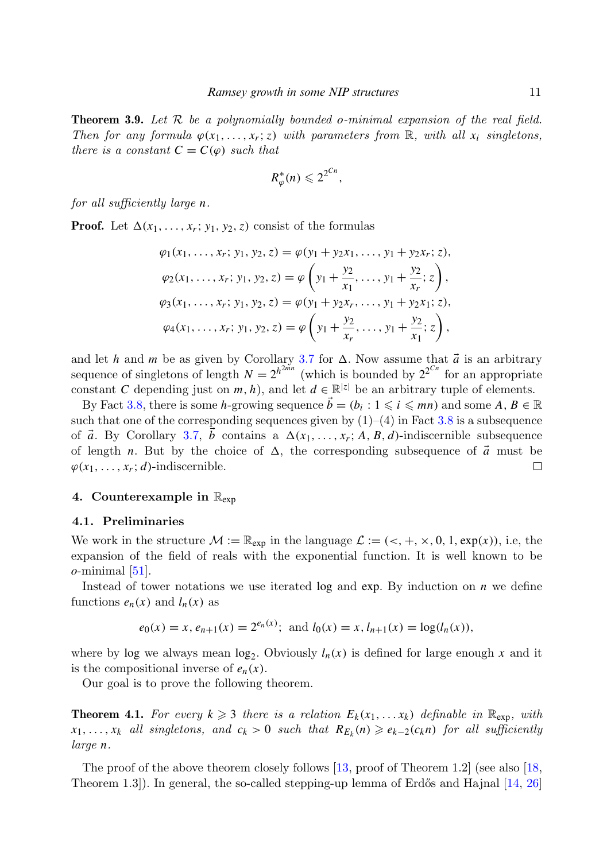<span id="page-10-2"></span>Theorem 3.9. Let R be a polynomially bounded *o*-minimal expansion of the real field. Then for any formula  $\varphi(x_1, \ldots, x_r; z)$  with parameters from  $\mathbb{R}$ , with all  $x_i$  singletons, there is a constant  $C = C(\varphi)$  such that

$$
R^*_{\varphi}(n) \leqslant 2^{2^{Cn}},
$$

for all sufficiently large *n*.

**Proof.** Let  $\Delta(x_1, \ldots, x_r; y_1, y_2, z)$  consist of the formulas

$$
\varphi_1(x_1, \ldots, x_r; y_1, y_2, z) = \varphi(y_1 + y_2 x_1, \ldots, y_1 + y_2 x_r; z),
$$
  
\n
$$
\varphi_2(x_1, \ldots, x_r; y_1, y_2, z) = \varphi\left(y_1 + \frac{y_2}{x_1}, \ldots, y_1 + \frac{y_2}{x_r}; z\right),
$$
  
\n
$$
\varphi_3(x_1, \ldots, x_r; y_1, y_2, z) = \varphi(y_1 + y_2 x_r, \ldots, y_1 + y_2 x_1; z),
$$
  
\n
$$
\varphi_4(x_1, \ldots, x_r; y_1, y_2, z) = \varphi\left(y_1 + \frac{y_2}{x_r}, \ldots, y_1 + \frac{y_2}{x_1}; z\right),
$$

and let *h* and *m* be as given by Corollary [3.7](#page-9-0) for  $\Delta$ . Now assume that  $\vec{a}$  is an arbitrary sequence of singletons of length  $N = 2^{h^{2mn}}$  (which is bounded by  $2^{2^{Cn}}$  for an appropriate constant *C* depending just on *m*, *h*), and let  $d \in \mathbb{R}^{|z|}$  be an arbitrary tuple of elements.

By Fact [3.8,](#page-9-1) there is some *h*-growing sequence  $\vec{b} = (b_i : 1 \leq i \leq mn)$  and some  $A, B \in \mathbb{R}$ such that one of the corresponding sequences given by  $(1)$ – $(4)$  in Fact [3.8](#page-9-1) is a subsequence of  $\vec{a}$ . By Corollary [3.7,](#page-9-0)  $\vec{b}$  contains a  $\Delta(x_1, \ldots, x_r; A, B, d)$ -indiscernible subsequence of length *n*. But by the choice of  $\Delta$ , the corresponding subsequence of  $\vec{a}$  must be  $\varphi(x_1, \ldots, x_r; d)$ -indiscernible. □

## <span id="page-10-0"></span>4. Counterexample in  $\mathbb{R}_{\text{exp}}$

## 4.1. Preliminaries

We work in the structure  $\mathcal{M} := \mathbb{R}_{exp}$  in the language  $\mathcal{L} := \langle \langle +, +, \times, 0, 1, exp(x) \rangle$ , i.e, the expansion of the field of reals with the exponential function. It is well known to be *o*-minimal [\[51\]](#page-28-12).

Instead of tower notations we use iterated log and exp. By induction on *n* we define functions  $e_n(x)$  and  $l_n(x)$  as

$$
e_0(x) = x
$$
,  $e_{n+1}(x) = 2^{e_n(x)}$ ; and  $l_0(x) = x$ ,  $l_{n+1}(x) = \log(l_n(x))$ ,

where by log we always mean  $log_2$ . Obviously  $l_n(x)$  is defined for large enough  $x$  and it is the compositional inverse of  $e_n(x)$ .

Our goal is to prove the following theorem.

<span id="page-10-1"></span>**Theorem 4.1.** For every  $k \geq 3$  there is a relation  $E_k(x_1, \ldots, x_k)$  definable in  $\mathbb{R}_{\exp}$ , with  $x_1, \ldots, x_k$  all singletons, and  $c_k > 0$  such that  $R_{E_k}(n) \geqslant e_{k-2}(c_k n)$  for all sufficiently large *n*.

The proof of the above theorem closely follows [\[13,](#page-26-1) proof of Theorem 1.2] (see also [\[18,](#page-27-6) Theorem  $1.3$ ). In general, the so-called stepping-up lemma of Erdős and Hajnal  $[14, 26]$  $[14, 26]$  $[14, 26]$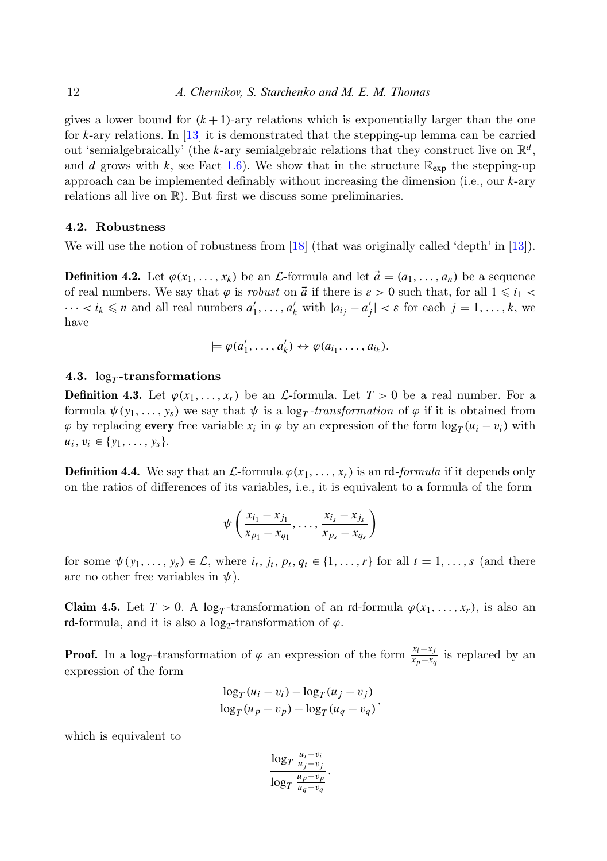gives a lower bound for  $(k+1)$ -ary relations which is exponentially larger than the one for *k*-ary relations. In [\[13\]](#page-26-1) it is demonstrated that the stepping-up lemma can be carried out 'semialgebraically' (the *k*-ary semialgebraic relations that they construct live on  $\mathbb{R}^d$ , and *d* grows with *k*, see Fact [1.6\)](#page-1-1). We show that in the structure  $\mathbb{R}_{exp}$  the stepping-up approach can be implemented definably without increasing the dimension (i.e., our *k*-ary relations all live on R). But first we discuss some preliminaries.

## 4.2. Robustness

We will use the notion of robustness from [\[18\]](#page-27-6) (that was originally called 'depth' in [\[13\]](#page-26-1)).

**Definition 4.2.** Let  $\varphi(x_1, \ldots, x_k)$  be an L-formula and let  $\vec{a} = (a_1, \ldots, a_n)$  be a sequence of real numbers. We say that  $\varphi$  is *robust* on  $\vec{a}$  if there is  $\varepsilon > 0$  such that, for all  $1 \leq i_1$  $\cdots < i_k \leq n$  and all real numbers  $a'_1, \ldots, a'_k$  with  $|a_{i_j} - a'_j| < \varepsilon$  for each  $j = 1, \ldots, k$ , we have

$$
\models \varphi(a'_1, \ldots, a'_k) \leftrightarrow \varphi(a_{i_1}, \ldots, a_{i_k}).
$$

# $4.3.$   $\log_T$ -transformations

**Definition 4.3.** Let  $\varphi(x_1, \ldots, x_r)$  be an L-formula. Let  $T > 0$  be a real number. For a formula  $\psi(y_1, \ldots, y_s)$  we say that  $\psi$  is a  $\log_T \text{-}transformation$  of  $\varphi$  if it is obtained from  $\varphi$  by replacing every free variable  $x_i$  in  $\varphi$  by an expression of the form  $\log_T(u_i - v_i)$  with  $u_i, v_i \in \{y_1, \ldots, y_s\}.$ 

**Definition 4.4.** We say that an  $\mathcal{L}$ -formula  $\varphi(x_1, \ldots, x_r)$  is an rd-formula if it depends only on the ratios of differences of its variables, i.e., it is equivalent to a formula of the form

$$
\psi\left(\frac{x_{i_1}-x_{j_1}}{x_{p_1}-x_{q_1}},\ldots,\frac{x_{i_s}-x_{j_s}}{x_{p_s}-x_{q_s}}\right)
$$

for some  $\psi(y_1, \ldots, y_s) \in \mathcal{L}$ , where  $i_t, j_t, p_t, q_t \in \{1, \ldots, r\}$  for all  $t = 1, \ldots, s$  (and there are no other free variables in  $\psi$ ).

<span id="page-11-0"></span>Claim 4.5. Let  $T > 0$ . A log<sub>T</sub>-transformation of an rd-formula  $\varphi(x_1, \ldots, x_r)$ , is also an rd-formula, and it is also a  $\log_2$ -transformation of  $\varphi$ .

**Proof.** In a log<sub>*T*</sub>-transformation of  $\varphi$  an expression of the form  $\frac{x_i - x_j}{x_p - x_q}$  is replaced by an expression of the form

$$
\frac{\log_T(u_i - v_i) - \log_T(u_j - v_j)}{\log_T(u_p - v_p) - \log_T(u_q - v_q)},
$$

which is equivalent to

$$
\frac{\log_T \frac{u_i - v_i}{u_j - v_j}}{\log_T \frac{u_p - v_p}{u_q - v_q}}.
$$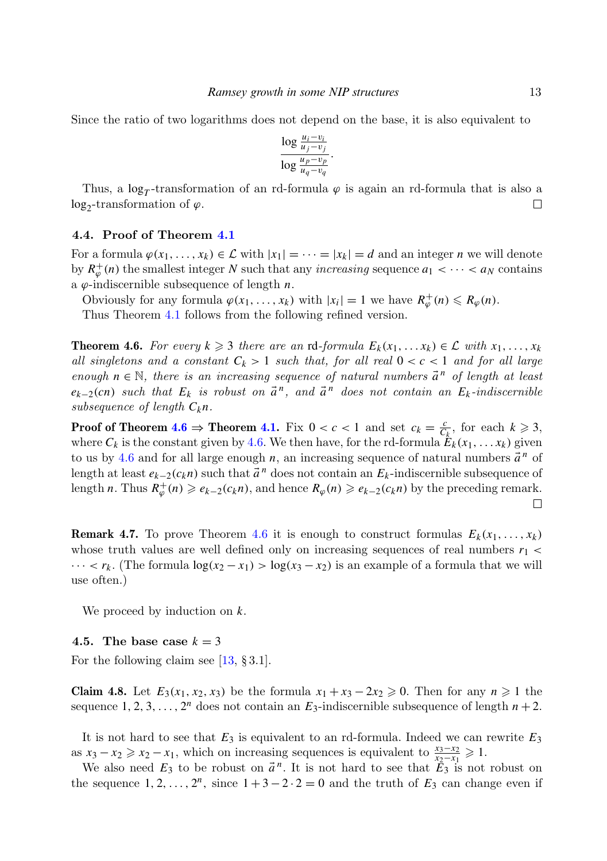Since the ratio of two logarithms does not depend on the base, it is also equivalent to

$$
\frac{\log \frac{u_i - v_i}{u_j - v_j}}{\log \frac{u_p - v_p}{u_q - v_q}}.
$$

Thus, a  $log<sub>T</sub>$ -transformation of an rd-formula  $\varphi$  is again an rd-formula that is also a  $log_2$ -transformation of  $\varphi$ .  $\Box$ 

# 4.4. Proof of Theorem [4.1](#page-10-1)

For a formula  $\varphi(x_1, \ldots, x_k) \in \mathcal{L}$  with  $|x_1| = \cdots = |x_k| = d$  and an integer *n* we will denote by  $R^+_{\varphi}(n)$  the smallest integer *N* such that any *increasing* sequence  $a_1 < \cdots < a_N$  contains a  $\varphi$ -indiscernible subsequence of length  $n$ .

Obviously for any formula  $\varphi(x_1, \ldots, x_k)$  with  $|x_i| = 1$  we have  $R^+_{\varphi}(n) \le R_{\varphi}(n)$ .

Thus Theorem [4.1](#page-10-1) follows from the following refined version.

<span id="page-12-0"></span>**Theorem 4.6.** For every  $k \geq 3$  there are an rd-formula  $E_k(x_1, \ldots, x_k) \in \mathcal{L}$  with  $x_1, \ldots, x_k$ all singletons and a constant  $C_k > 1$  such that, for all real  $0 < c < 1$  and for all large enough  $n \in \mathbb{N}$ , there is an increasing sequence of natural numbers  $\vec{a}^n$  of length at least  $e_{k-2}(cn)$  such that  $E_k$  is robust on  $\vec{a}^n$ , and  $\vec{a}^n$  does not contain an  $E_k$ -indiscernible subsequence of length *Ckn*.

**Proof of Theorem [4.6](#page-12-0)**  $\Rightarrow$  **Theorem [4.1.](#page-10-1)** Fix  $0 < c < 1$  and set  $c_k = \frac{c}{C_k}$ , for each  $k \ge 3$ , where  $C_k$  is the constant given by [4.6.](#page-12-0) We then have, for the rd-formula  $E_k(x_1, \ldots, x_k)$  given to us by [4.6](#page-12-0) and for all large enough  $n$ , an increasing sequence of natural numbers  $\vec{a}^n$  of length at least  $e_{k-2}(c_k n)$  such that  $\vec{a}^n$  does not contain an  $E_k$ -indiscernible subsequence of length *n*. Thus  $R^+_{\varphi}(n) \geq e_{k-2}(c_k n)$ , and hence  $R_{\varphi}(n) \geq e_{k-2}(c_k n)$  by the preceding remark.  $\Box$ 

**Remark 4.7.** To prove Theorem [4.6](#page-12-0) it is enough to construct formulas  $E_k(x_1, \ldots, x_k)$ whose truth values are well defined only on increasing sequences of real numbers  $r_1$  <  $\cdots < r_k$ . (The formula  $\log(x_2 - x_1) > \log(x_3 - x_2)$  is an example of a formula that we will use often.)

We proceed by induction on *k*.

#### 4.5. The base case  $k = 3$

For the following claim see  $[13, §3.1]$  $[13, §3.1]$ .

Claim 4.8. Let  $E_3(x_1, x_2, x_3)$  be the formula  $x_1 + x_3 - 2x_2 \ge 0$ . Then for any  $n ≥ 1$  the sequence 1, 2, 3, ...,  $2^n$  does not contain an  $E_3$ -indiscernible subsequence of length  $n + 2$ .

It is not hard to see that *E*<sup>3</sup> is equivalent to an rd-formula. Indeed we can rewrite *E*<sup>3</sup> as  $x_3 - x_2 \ge x_2 - x_1$ , which on increasing sequences is equivalent to  $\frac{x_3 - x_2}{x_2 - x_1} \ge 1$ .

We also need  $E_3$  to be robust on  $\vec{a}^n$ . It is not hard to see that  $\tilde{E}_3$  is not robust on the sequence  $1, 2, ..., 2^n$ , since  $1 + 3 - 2 \cdot 2 = 0$  and the truth of  $E_3$  can change even if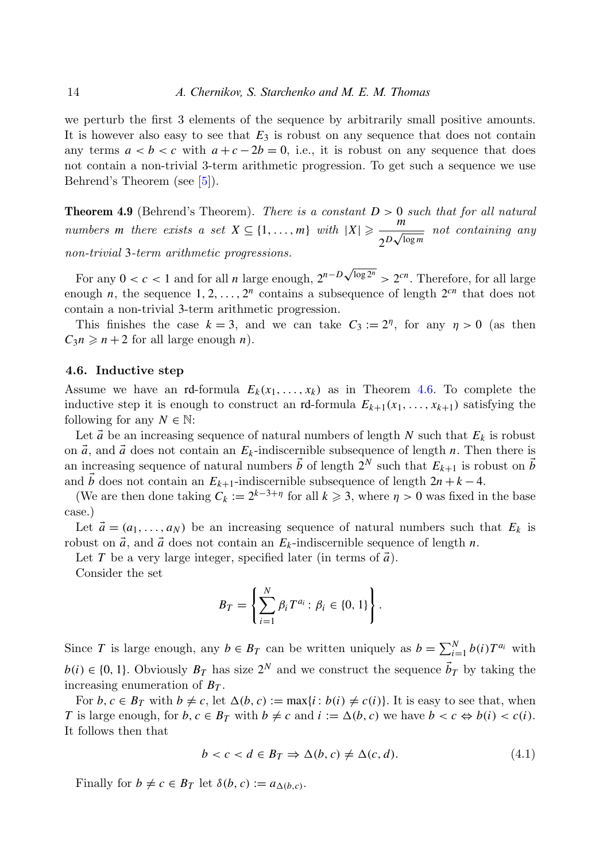we perturb the first 3 elements of the sequence by arbitrarily small positive amounts. It is however also easy to see that *E*<sup>3</sup> is robust on any sequence that does not contain any terms  $a < b < c$  with  $a + c - 2b = 0$ , i.e., it is robust on any sequence that does not contain a non-trivial 3-term arithmetic progression. To get such a sequence we use Behrend's Theorem (see [\[5\]](#page-26-10)).

**Theorem 4.9** (Behrend's Theorem). There is a constant  $D > 0$  such that for all natural *numbers m* there exists a set  $X \subseteq \{1, ..., m\}$  with  $|X| \geqslant \frac{m}{\sqrt{n}}$  $\frac{m}{2^{\frac{D\sqrt{\log m}}{}}}$  not containing any non-trivial 3-term arithmetic progressions.

For any  $0 < c < 1$  and for all *n* large enough,  $2^{n-D\sqrt{\log 2^n}} > 2^{cn}$ . Therefore, for all large enough *n*, the sequence  $1, 2, ..., 2<sup>n</sup>$  contains a subsequence of length  $2<sup>cn</sup>$  that does not contain a non-trivial 3-term arithmetic progression.

This finishes the case  $k = 3$ , and we can take  $C_3 := 2<sup>{\eta}</sup>$ , for any  $\eta > 0$  (as then  $C_3 n \geq n+2$  for all large enough *n*).

# 4.6. Inductive step

Assume we have an rd-formula  $E_k(x_1, \ldots, x_k)$  as in Theorem [4.6.](#page-12-0) To complete the inductive step it is enough to construct an rd-formula  $E_{k+1}(x_1, \ldots, x_{k+1})$  satisfying the following for any  $N \in \mathbb{N}$ :

Let  $\vec{a}$  be an increasing sequence of natural numbers of length *N* such that  $E_k$  is robust on  $\vec{a}$ , and  $\vec{a}$  does not contain an  $E_k$ -indiscernible subsequence of length *n*. Then there is an increasing sequence of natural numbers  $\vec{b}$  of length  $2^N$  such that  $E_{k+1}$  is robust on  $\vec{b}$ and  $\vec{b}$  does not contain an  $E_{k+1}$ -indiscernible subsequence of length  $2n + k - 4$ .

(We are then done taking  $C_k := 2^{k-3+\eta}$  for all  $k \geq 3$ , where  $\eta > 0$  was fixed in the base case.)

Let  $\vec{a} = (a_1, \ldots, a_N)$  be an increasing sequence of natural numbers such that  $E_k$  is robust on  $\vec{a}$ , and  $\vec{a}$  does not contain an  $E_k$ -indiscernible sequence of length *n*.

Let *T* be a very large integer, specified later (in terms of  $\vec{a}$ ).

Consider the set

$$
B_T = \left\{ \sum_{i=1}^N \beta_i T^{a_i} : \beta_i \in \{0, 1\} \right\}.
$$

Since *T* is large enough, any  $b \in B_T$  can be written uniquely as  $b = \sum_{i=1}^{N} b(i) T^{a_i}$  with  $b(i) \in \{0, 1\}$ . Obviously  $B_T$  has size  $2^N$  and we construct the sequence  $\vec{b}_T$  by taking the increasing enumeration of *B<sup>T</sup>* .

For  $b, c \in B_T$  with  $b \neq c$ , let  $\Delta(b, c) := \max\{i : b(i) \neq c(i)\}\)$ . It is easy to see that, when *T* is large enough, for  $b, c \in B_T$  with  $b \neq c$  and  $i := \Delta(b, c)$  we have  $b < c \Leftrightarrow b(i) < c(i)$ . It follows then that

<span id="page-13-0"></span>
$$
b < c < d \in B_T \Rightarrow \Delta(b, c) \neq \Delta(c, d). \tag{4.1}
$$

Finally for  $b \neq c \in B_T$  let  $\delta(b, c) := a_{\Delta(b, c)}$ .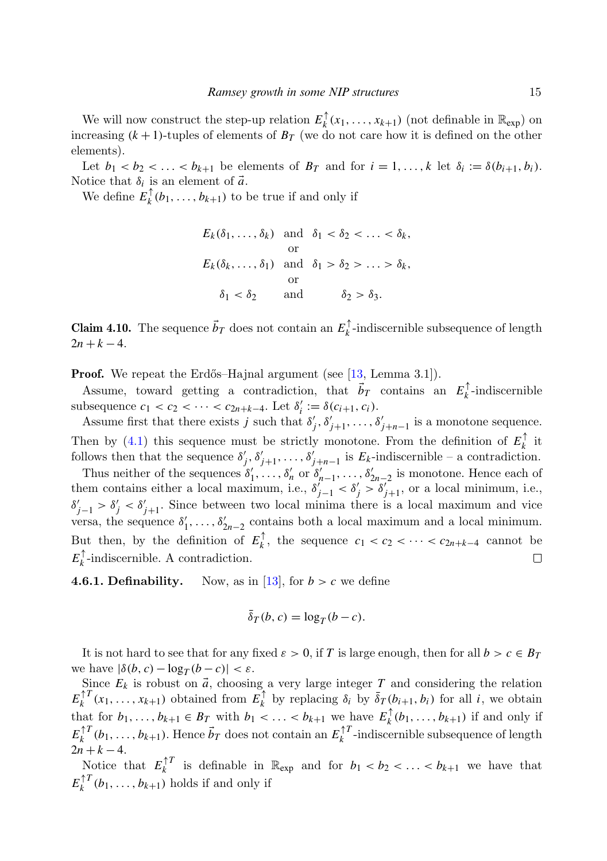We will now construct the step-up relation  $E_k^{\uparrow}$  $\int_k^{\uparrow} (x_1, \ldots, x_{k+1})$  (not definable in  $\mathbb{R}_{\exp}$ ) on increasing  $(k + 1)$ -tuples of elements of  $B_T$  (we do not care how it is defined on the other elements).

Let  $b_1 < b_2 < \ldots < b_{k+1}$  be elements of  $B_T$  and for  $i = 1, \ldots, k$  let  $\delta_i := \delta(b_{i+1}, b_i)$ . Notice that  $\delta_i$  is an element of  $\vec{a}$ .

We define  $E_k^{\uparrow}$  $\mathbf{b}_k^{\top}(\mathbf{b}_1, \ldots, \mathbf{b}_{k+1})$  to be true if and only if

$$
E_k(\delta_1, \ldots, \delta_k) \text{ and } \delta_1 < \delta_2 < \ldots < \delta_k,
$$
\nor

\n
$$
E_k(\delta_k, \ldots, \delta_1) \text{ and } \delta_1 > \delta_2 > \ldots > \delta_k,
$$
\nor

\n
$$
\delta_1 < \delta_2 \text{ and } \delta_2 > \delta_3.
$$

**Claim 4.10.** The sequence  $\vec{b}_T$  does not contain an  $E_k^{\uparrow}$ *k* -indiscernible subsequence of length  $2n + k - 4$ .

**Proof.** We repeat the Erdős–Hajnal argument (see [\[13,](#page-26-1) Lemma 3.1]).

Assume, toward getting a contradiction, that  $\vec{b}_T$  contains an  $E_k^{\uparrow}$ *k* -indiscernible subsequence  $c_1 < c_2 < \cdots < c_{2n+k-4}$ . Let  $\delta'_i := \delta(c_{i+1}, c_i)$ .

Assume first that there exists *j* such that  $\delta'_j, \delta'_{j+1}, \ldots, \delta'_{j+n-1}$  is a monotone sequence. Then by [\(4.1\)](#page-13-0) this sequence must be strictly monotone. From the definition of  $E_k^{\uparrow}$  $\frac{1}{k}$  it follows then that the sequence  $\delta'_{j}, \delta'_{j+1}, \ldots, \delta'_{j+n-1}$  is  $E_k$ -indiscernible – a contradiction.

Thus neither of the sequences  $\delta'_1, \ldots, \delta'_n$  or  $\delta'_{n-1}, \ldots, \delta'_{2n-2}$  is monotone. Hence each of them contains either a local maximum, i.e.,  $\delta'_{j-1} < \delta'_{j} > \delta'_{j+1}$ , or a local minimum, i.e.,  $\delta'_{j-1} > \delta'_{j} < \delta'_{j+1}$ . Since between two local minima there is a local maximum and vice versa, the sequence  $\delta'_1, \ldots, \delta'_{2n-2}$  contains both a local maximum and a local minimum. But then, by the definition of  $E_k^{\uparrow}$ *k*<sup>↑</sup>, the sequence  $c_1 < c_2 < \cdots < c_{2n+k-4}$  cannot be  $E_k^\uparrow$ *k* -indiscernible. A contradiction.  $\Box$ 

**4.6.1. Definability.** Now, as in [\[13\]](#page-26-1), for  $b > c$  we define

$$
\bar{\delta}_T(b,c) = \log_T(b-c).
$$

It is not hard to see that for any fixed  $\varepsilon > 0$ , if *T* is large enough, then for all  $b > c \in B_T$ we have  $|\delta(b, c) - \log_T(b - c)| < \varepsilon$ .

Since  $E_k$  is robust on  $\vec{a}$ , choosing a very large integer *T* and considering the relation  $E_k^{\uparrow T}$  $\prod_{k}^{\uparrow T} (x_1, \ldots, x_{k+1})$  obtained from  $E_k^{\uparrow}$  $\bar{\delta}_k$  by replacing  $\delta_i$  by  $\bar{\delta}_T(b_{i+1}, b_i)$  for all *i*, we obtain that for  $b_1, \ldots, b_{k+1} \in B_T$  with  $b_1 < \ldots < b_{k+1}$  we have  $E_k^{\uparrow}$  $\mathbf{b}_k^{\dagger}$  ( $b_1, \ldots, b_{k+1}$ ) if and only if  $E_k^{\uparrow T}$  $\int_{k}^{\uparrow T} (b_1, \ldots, b_{k+1})$ . Hence  $\vec{b}_T$  does not contain an  $E_k^{\uparrow T}$  $\int_k^{\pi} I$ -indiscernible subsequence of length  $2n + k - 4$ .

Notice that  $E_k^{\uparrow T}$  $\int_{k}^{T}$  is definable in  $\mathbb{R}_{exp}$  and for  $b_1 < b_2 < \ldots < b_{k+1}$  we have that  $E_k^{\uparrow T}$  $\int_k^T (b_1, \ldots, b_{k+1})$  holds if and only if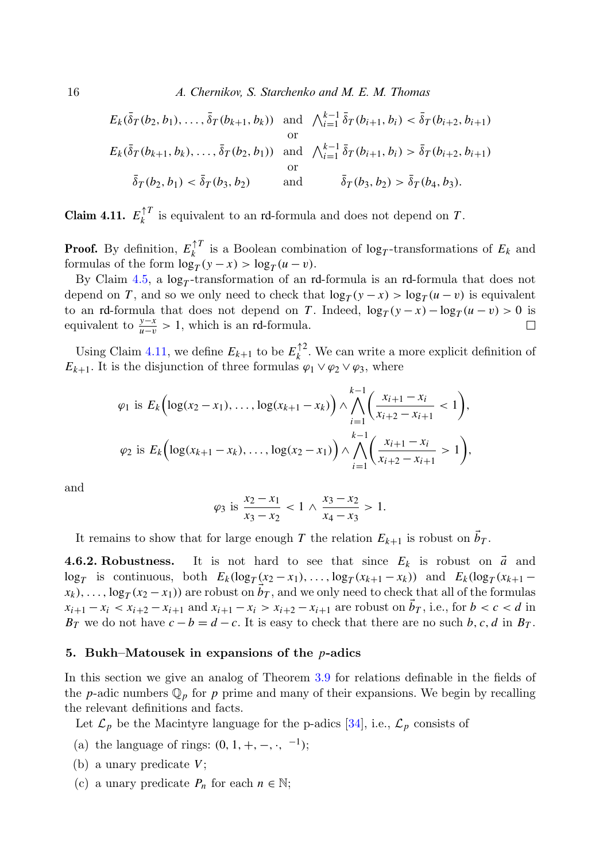16 A. Chernikov, S. Starchenko and M. E. M. Thomas

$$
E_k(\bar{\delta}_T(b_2, b_1), \dots, \bar{\delta}_T(b_{k+1}, b_k)) \text{ and } \bigwedge_{i=1}^{k-1} \bar{\delta}_T(b_{i+1}, b_i) < \bar{\delta}_T(b_{i+2}, b_{i+1})
$$
\n
$$
E_k(\bar{\delta}_T(b_{k+1}, b_k), \dots, \bar{\delta}_T(b_2, b_1)) \text{ and } \bigwedge_{i=1}^{k-1} \bar{\delta}_T(b_{i+1}, b_i) > \bar{\delta}_T(b_{i+2}, b_{i+1})
$$
\n
$$
\bar{\delta}_T(b_2, b_1) < \bar{\delta}_T(b_3, b_2) \text{ and } \bar{\delta}_T(b_3, b_2) > \bar{\delta}_T(b_4, b_3).
$$

<span id="page-15-1"></span>Claim 4.11.  $E_k^{\uparrow T}$  $\frac{1}{k}$  is equivalent to an rd-formula and does not depend on *T*.

**Proof.** By definition,  $E_k^{\uparrow T}$  $\frac{1}{k}$  is a Boolean combination of  $\log_T$ -transformations of  $E_k$  and formulas of the form  $\log_T(y-x) > \log_T(u-v)$ .

By Claim [4.5,](#page-11-0) a  $log<sub>T</sub>$ -transformation of an rd-formula is an rd-formula that does not depend on *T*, and so we only need to check that  $\log_T(y - x) > \log_T(u - v)$  is equivalent to an rd-formula that does not depend on *T*. Indeed,  $\log_T(y-x) - \log_T(u-v) > 0$  is equivalent to  $\frac{y-x}{u-v} > 1$ , which is an rd-formula.  $\Box$ 

Using Claim [4.11,](#page-15-1) we define  $E_{k+1}$  to be  $E_k^{\uparrow 2}$  $\binom{n}{k}$ . We can write a more explicit definition of  $E_{k+1}$ . It is the disjunction of three formulas  $\varphi_1 \vee \varphi_2 \vee \varphi_3$ , where

$$
\varphi_1 \text{ is } E_k \Big( \log(x_2 - x_1), \dots, \log(x_{k+1} - x_k) \Big) \wedge \bigwedge_{i=1}^{k-1} \Big( \frac{x_{i+1} - x_i}{x_{i+2} - x_{i+1}} < 1 \Big),
$$
\n
$$
\varphi_2 \text{ is } E_k \Big( \log(x_{k+1} - x_k), \dots, \log(x_2 - x_1) \Big) \wedge \bigwedge_{i=1}^{k-1} \Big( \frac{x_{i+1} - x_i}{x_{i+2} - x_{i+1}} > 1 \Big),
$$

and

$$
\varphi_3 \text{ is } \frac{x_2 - x_1}{x_3 - x_2} < 1 \wedge \frac{x_3 - x_2}{x_4 - x_3} > 1.
$$

It remains to show that for large enough *T* the relation  $E_{k+1}$  is robust on  $\vec{b}_T$ .

**4.6.2. Robustness.** It is not hard to see that since  $E_k$  is robust on  $\vec{a}$  and  $\log_T$  is continuous, both  $E_k(\log_T(x_2-x_1), \ldots, \log_T(x_{k+1}-x_k))$  and  $E_k(\log_T(x_{k+1}-x_k))$  $\vec{b}_T$ , ...,  $\log_T(x_2 - x_1)$  are robust on  $\vec{b}_T$ , and we only need to check that all of the formulas  $x_{i+1} - x_i < x_{i+2} - x_{i+1}$  and  $x_{i+1} - x_i > x_{i+2} - x_{i+1}$  are robust on  $\vec{b}_T$ , i.e., for  $b < c < d$  in *B*<sup>T</sup> we do not have  $c - b = d - c$ . It is easy to check that there are no such *b*, *c*, *d* in *B*<sup>T</sup>.

#### <span id="page-15-0"></span>5. Bukh–Matousek in expansions of the *p*-adics

In this section we give an analog of Theorem [3.9](#page-10-2) for relations definable in the fields of the *p*-adic numbers  $\mathbb{Q}_p$  for *p* prime and many of their expansions. We begin by recalling the relevant definitions and facts.

Let  $\mathcal{L}_p$  be the Macintyre language for the p-adics [\[34\]](#page-27-16), i.e.,  $\mathcal{L}_p$  consists of

- (a) the language of rings:  $(0, 1, +, -, \cdot, ^{-1})$ ;
- (b) a unary predicate *V*;
- (c) a unary predicate  $P_n$  for each  $n \in \mathbb{N}$ ;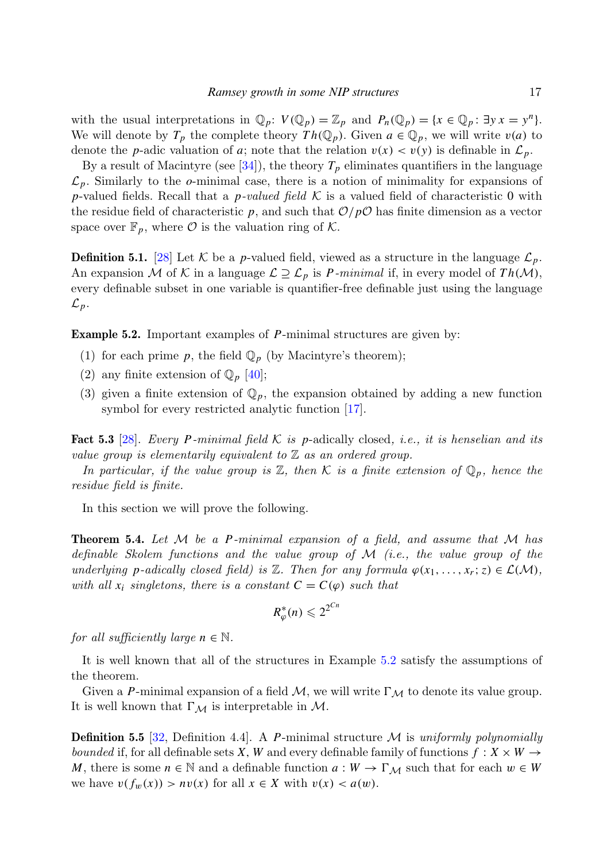with the usual interpretations in  $\mathbb{Q}_p$ :  $V(\mathbb{Q}_p) = \mathbb{Z}_p$  and  $P_n(\mathbb{Q}_p) = \{x \in \mathbb{Q}_p : \exists y \, x = y^n\}.$ We will denote by  $T_p$  the complete theory  $Th(\mathbb{Q}_p)$ . Given  $a \in \mathbb{Q}_p$ , we will write  $v(a)$  to denote the *p*-adic valuation of *a*; note that the relation  $v(x) < v(y)$  is definable in  $\mathcal{L}_p$ .

By a result of Macintyre (see  $[34]$ ), the theory  $T_p$  eliminates quantifiers in the language  $\mathcal{L}_p$ . Similarly to the *o*-minimal case, there is a notion of minimality for expansions of *p*-valued fields. Recall that a *p-valued field*  $K$  is a valued field of characteristic 0 with the residue field of characteristic  $p$ , and such that  $\mathcal{O}/p\mathcal{O}$  has finite dimension as a vector space over  $\mathbb{F}_p$ , where  $\mathcal O$  is the valuation ring of  $\mathcal K$ .

<span id="page-16-0"></span>**Definition 5.1.** [\[28\]](#page-27-17) Let K be a p-valued field, viewed as a structure in the language  $\mathcal{L}_p$ . An expansion M of K in a language  $\mathcal{L} \supseteq \mathcal{L}_p$  is *P*-minimal if, in every model of  $Th(\mathcal{M})$ , every definable subset in one variable is quantifier-free definable just using the language  $\mathcal{L}_p$ .

<span id="page-16-1"></span>Example 5.2. Important examples of *P*-minimal structures are given by:

- (1) for each prime  $p$ , the field  $\mathbb{Q}_p$  (by Macintyre's theorem);
- (2) any finite extension of  $\mathbb{Q}_p$  [\[40\]](#page-28-13);
- (3) given a finite extension of  $\mathbb{Q}_p$ , the expansion obtained by adding a new function symbol for every restricted analytic function [\[17\]](#page-27-18).

<span id="page-16-2"></span>Fact 5.3 [\[28\]](#page-27-17). Every P-minimal field  $K$  is p-adically closed, i.e., it is henselian and its value group is elementarily equivalent to  $\mathbb Z$  as an ordered group.

In particular, if the value group is  $\mathbb{Z}$ , then K is a finite extension of  $\mathbb{Q}_p$ , hence the residue field is finite.

In this section we will prove the following.

<span id="page-16-4"></span>Theorem 5.4. Let M be a *P*-minimal expansion of a field, and assume that M has definable Skolem functions and the value group of  $\mathcal M$  (i.e., the value group of the underlying *p*-adically closed field) is  $\mathbb{Z}$ . Then for any formula  $\varphi(x_1, \ldots, x_r; z) \in \mathcal{L}(\mathcal{M})$ , with all  $x_i$  singletons, there is a constant  $C = C(\varphi)$  such that

$$
R^*_{\varphi}(n) \leqslant 2^{2^{Cn}}
$$

for all sufficiently large  $n \in \mathbb{N}$ .

It is well known that all of the structures in Example [5.2](#page-16-1) satisfy the assumptions of the theorem.

Given a *P*-minimal expansion of a field  $M$ , we will write  $\Gamma_M$  to denote its value group. It is well known that  $\Gamma_{\mathcal{M}}$  is interpretable in M.

<span id="page-16-3"></span>**Definition 5.5** [\[32,](#page-27-19) Definition 4.4]. A *P*-minimal structure  $M$  is uniformly polynomially bounded if, for all definable sets *X*, *W* and every definable family of functions  $f: X \times W \rightarrow$ *M*, there is some  $n \in \mathbb{N}$  and a definable function  $a: W \to \Gamma_M$  such that for each  $w \in W$ we have  $v(f_w(x)) > nv(x)$  for all  $x \in X$  with  $v(x) < a(w)$ .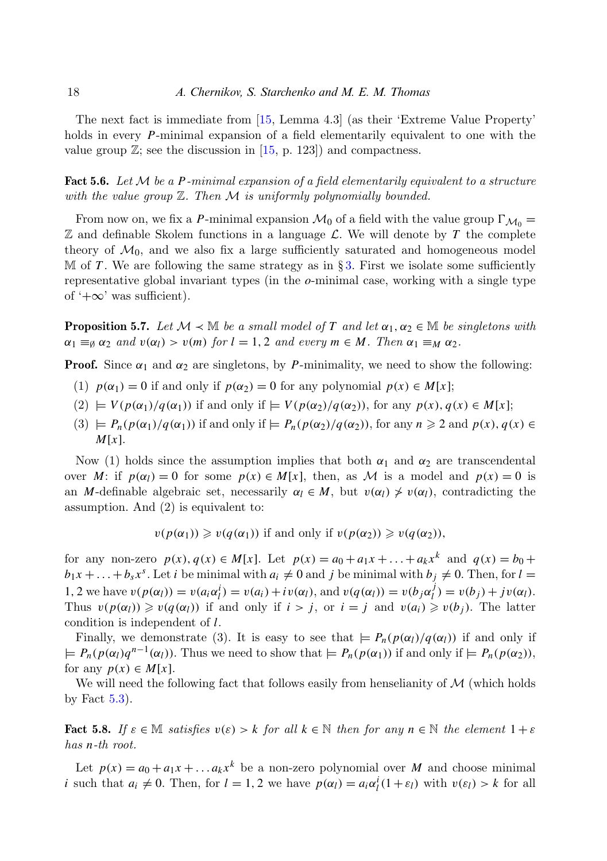The next fact is immediate from [\[15,](#page-27-20) Lemma 4.3] (as their 'Extreme Value Property' holds in every *P*-minimal expansion of a field elementarily equivalent to one with the value group  $\mathbb{Z}$ ; see the discussion in [\[15,](#page-27-20) p. 123]) and compactness.

<span id="page-17-0"></span>Fact 5.6. Let M be a P-minimal expansion of a field elementarily equivalent to a structure with the value group  $\mathbb Z$ . Then  $\mathcal M$  is uniformly polynomially bounded.

From now on, we fix a *P*-minimal expansion  $\mathcal{M}_0$  of a field with the value group  $\Gamma_{\mathcal{M}_0}$  =  $\mathbb Z$  and definable Skolem functions in a language  $\mathcal L$ . We will denote by  $T$  the complete theory of  $\mathcal{M}_0$ , and we also fix a large sufficiently saturated and homogeneous model  $\mathbb M$  of *T*. We are following the same strategy as in § [3.](#page-7-0) First we isolate some sufficiently representative global invariant types (in the *o*-minimal case, working with a single type of  $+\infty$ ' was sufficient).

<span id="page-17-1"></span>**Proposition 5.7.** Let  $M \prec M$  be a small model of *T* and let  $\alpha_1, \alpha_2 \in M$  be singletons with  $\alpha_1 \equiv_{\emptyset} \alpha_2$  and  $v(\alpha_l) > v(m)$  for  $l = 1, 2$  and every  $m \in M$ . Then  $\alpha_1 \equiv_M \alpha_2$ .

**Proof.** Since  $\alpha_1$  and  $\alpha_2$  are singletons, by *P*-minimality, we need to show the following:

- (1)  $p(\alpha_1) = 0$  if and only if  $p(\alpha_2) = 0$  for any polynomial  $p(x) \in M[x]$ ;
- $V(p(\alpha_1)/q(\alpha_1))$  if and only if  $= V(p(\alpha_2)/q(\alpha_2))$ , for any  $p(x), q(x) \in M[x]$ ;
- $(3) \models P_n(p(\alpha_1)/q(\alpha_1))$  if and only if  $\models P_n(p(\alpha_2)/q(\alpha_2))$ , for any  $n \geq 2$  and  $p(x), q(x) \in$ *M*[*x*].

Now (1) holds since the assumption implies that both  $α_1$  and  $α_2$  are transcendental over *M*: if  $p(\alpha_l) = 0$  for some  $p(x) \in M[x]$ , then, as *M* is a model and  $p(x) = 0$  is an *M*-definable algebraic set, necessarily  $\alpha_l \in M$ , but  $v(\alpha_l) \neq v(\alpha_l)$ , contradicting the assumption. And (2) is equivalent to:

 $v(p(\alpha_1)) \geq v(q(\alpha_1))$  if and only if  $v(p(\alpha_2)) \geq v(q(\alpha_2))$ ,

for any non-zero  $p(x)$ ,  $q(x) \in M[x]$ . Let  $p(x) = a_0 + a_1x + ... + a_kx^k$  and  $q(x) = b_0 +$  $b_1x + \ldots + b_sx^s$ . Let *i* be minimal with  $a_i \neq 0$  and *j* be minimal with  $b_j \neq 0$ . Then, for  $l =$ 1, 2 we have  $v(p(\alpha_l)) = v(a_i \alpha_l^i) = v(a_i) + iv(\alpha_l)$ , and  $v(q(\alpha_l)) = v(b_j \alpha_l^j)$  $v_l^J$ ) =  $v(b_j) + jv(\alpha_l)$ . Thus  $v(p(\alpha_l)) \geq v(q(\alpha_l))$  if and only if  $i > j$ , or  $i = j$  and  $v(a_i) \geq v(b_j)$ . The latter condition is independent of *l*.

Finally, we demonstrate (3). It is easy to see that  $\varphi = P_n(p(\alpha_l)/q(\alpha_l))$  if and only if  $\varphi = P_n(p(\alpha_l)q^{n-1}(\alpha_l))$ . Thus we need to show that  $\varphi = P_n(p(\alpha_1))$  if and only if  $\varphi = P_n(p(\alpha_2))$ , for any  $p(x) \in M[x]$ .

We will need the following fact that follows easily from henselianity of  $\mathcal M$  (which holds by Fact  $5.3$ ).

**Fact 5.8.** If  $\varepsilon \in \mathbb{M}$  satisfies  $v(\varepsilon) > k$  for all  $k \in \mathbb{N}$  then for any  $n \in \mathbb{N}$  the element  $1 + \varepsilon$ has *n*-th root.

Let  $p(x) = a_0 + a_1x + \dots + a_kx^k$  be a non-zero polynomial over *M* and choose minimal *i* such that  $a_i \neq 0$ . Then, for  $l = 1, 2$  we have  $p(\alpha_l) = a_i \alpha_l^i (1 + \varepsilon_l)$  with  $v(\varepsilon_l) > k$  for all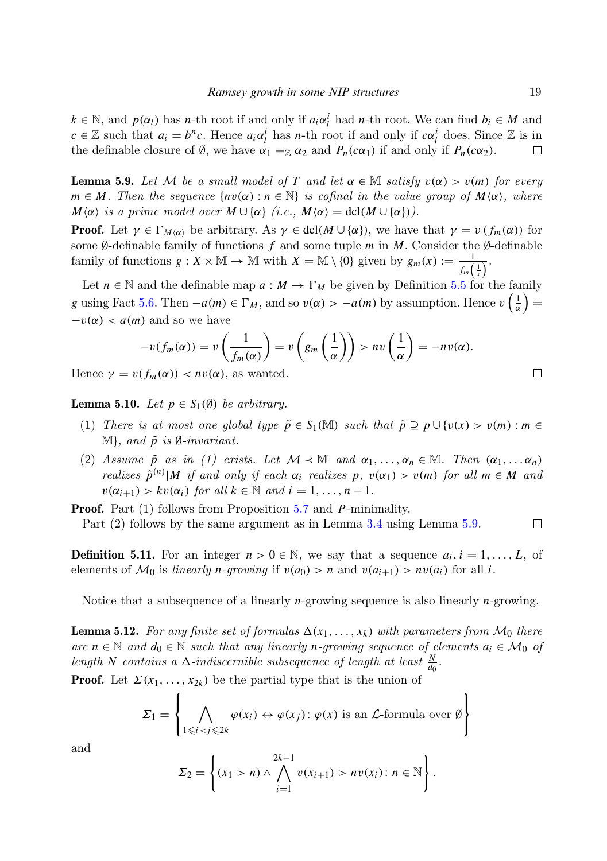$k \in \mathbb{N}$ , and  $p(\alpha_l)$  has *n*-th root if and only if  $a_i \alpha_l^i$  had *n*-th root. We can find  $b_i \in M$  and  $c \in \mathbb{Z}$  such that  $a_i = b^n c$ . Hence  $a_i \alpha_i^i$  has *n*-th root if and only if  $c \alpha_i^i$  does. Since  $\mathbb{Z}$  is in the definable closure of Ø, we have  $\alpha_1 \equiv_{\mathbb{Z}} \alpha_2$  and  $P_n(c\alpha_1)$  if and only if  $P_n(c\alpha_2)$ .  $\Box$ 

<span id="page-18-0"></span>**Lemma 5.9.** Let M be a small model of *T* and let  $\alpha \in \mathbb{M}$  satisfy  $v(\alpha) > v(m)$  for every  $m \in M$ . Then the sequence  $\{nv(\alpha): n \in \mathbb{N}\}\$ is cofinal in the value group of  $M(\alpha)$ , where  $M\langle \alpha \rangle$  is a prime model over  $M \cup \{ \alpha \}$  (i.e.,  $M\langle \alpha \rangle = \text{dcl}(M \cup \{ \alpha \})$ ).

**Proof.** Let  $\gamma \in \Gamma_{M(\alpha)}$  be arbitrary. As  $\gamma \in \text{dcl}(M \cup \{\alpha\})$ , we have that  $\gamma = v \left( f_m(\alpha) \right)$  for some ∅-definable family of functions *f* and some tuple *m* in *M*. Consider the ∅-definable family of functions  $g: X \times \mathbb{M} \to \mathbb{M}$  with  $X = \mathbb{M} \setminus \{0\}$  given by  $g_m(x) := \frac{1}{f_m(\frac{1}{x})}$ .

Let  $n \in \mathbb{N}$  and the definable map  $a: M \to \Gamma_M$  be given by Definition [5.5](#page-16-3) for the family *g* using Fact [5.6.](#page-17-0) Then  $-a(m) \in \Gamma_M$ , and so  $v(\alpha) > -a(m)$  by assumption. Hence  $v\left(\frac{1}{\alpha}\right) =$  $-v(\alpha) < a(m)$  and so we have

$$
-v(f_m(\alpha)) = v\left(\frac{1}{f_m(\alpha)}\right) = v\left(g_m\left(\frac{1}{\alpha}\right)\right) > nv\left(\frac{1}{\alpha}\right) = -nv(\alpha).
$$

Hence  $\gamma = v(f_m(\alpha)) < nv(\alpha)$ , as wanted.

<span id="page-18-1"></span>**Lemma 5.10.** Let  $p \in S_1(\emptyset)$  be arbitrary.

 $\mathbf{r}$ 

- (1) There is at most one global type  $\tilde{p} \in S_1(\mathbb{M})$  such that  $\tilde{p} \supseteq p \cup \{v(x) > v(m) : m \in \mathbb{N}\}$  $M$ , and  $\tilde{p}$  is  $\emptyset$ -invariant.
- (2) Assume  $\tilde{p}$  as in (1) exists. Let  $\mathcal{M} \prec \mathbb{M}$  and  $\alpha_1, \ldots, \alpha_n \in \mathbb{M}$ . Then  $(\alpha_1, \ldots, \alpha_n)$ realizes  $\tilde{p}^{(n)}|M$  if and only if each  $\alpha_i$  realizes p,  $v(\alpha_1) > v(m)$  for all  $m \in M$  and  $v(\alpha_{i+1}) > kv(\alpha_i)$  for all  $k \in \mathbb{N}$  and  $i = 1, ..., n-1$ .

Proof. Part (1) follows from Proposition [5.7](#page-17-1) and *P*-minimality. Part (2) follows by the same argument as in Lemma [3.4](#page-8-2) using Lemma [5.9.](#page-18-0)

**Definition 5.11.** For an integer  $n > 0 \in \mathbb{N}$ , we say that a sequence  $a_i$ ,  $i = 1, \ldots, L$ , of elements of  $\mathcal{M}_0$  is *linearly n-growing* if  $v(a_0) > n$  and  $v(a_{i+1}) > nv(a_i)$  for all *i*.

<span id="page-18-2"></span>Notice that a subsequence of a linearly *n*-growing sequence is also linearly *n*-growing.

**Lemma 5.12.** For any finite set of formulas  $\Delta(x_1, \ldots, x_k)$  with parameters from  $\mathcal{M}_0$  there are  $n \in \mathbb{N}$  and  $d_0 \in \mathbb{N}$  such that any linearly *n*-growing sequence of elements  $a_i \in \mathcal{M}_0$  of length *N* contains a  $\Delta$ -indiscernible subsequence of length at least  $\frac{N}{d_0}$ .

**Proof.** Let  $\Sigma(x_1, \ldots, x_{2k})$  be the partial type that is the union of

$$
\Sigma_1 = \left\{ \bigwedge_{1 \leq i < j \leq 2k} \varphi(x_i) \leftrightarrow \varphi(x_j) \colon \varphi(x) \text{ is an } \mathcal{L}\text{-formula over } \emptyset \right\}
$$

and

$$
\Sigma_2 = \left\{ (x_1 > n) \land \bigwedge_{i=1}^{2k-1} v(x_{i+1}) > n v(x_i) : n \in \mathbb{N} \right\}.
$$

 $\Box$ 

 $\Box$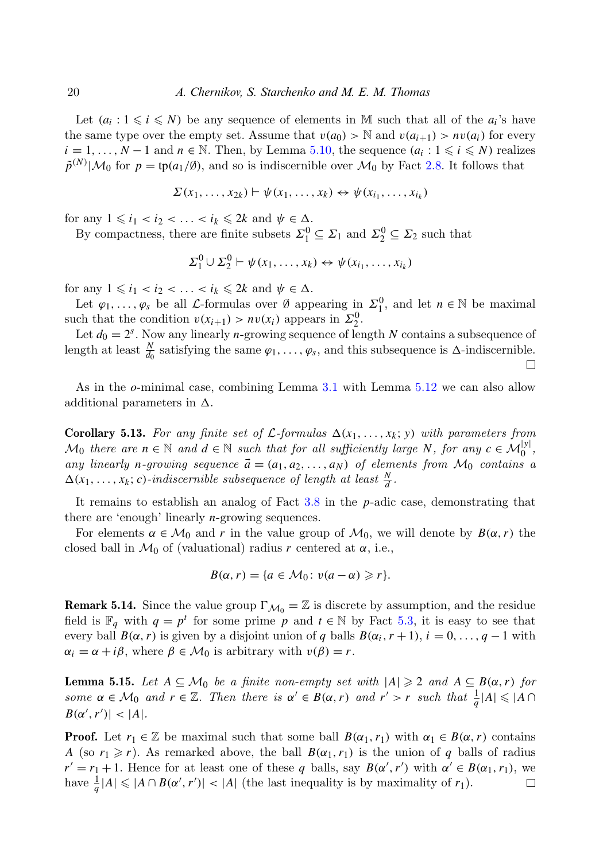Let  $(a_i : 1 \leq i \leq N)$  be any sequence of elements in M such that all of the  $a_i$ 's have the same type over the empty set. Assume that  $v(a_0) > N$  and  $v(a_{i+1}) > nv(a_i)$  for every *i* = 1, ..., *N* − 1 and *n* ∈ N. Then, by Lemma [5.10,](#page-18-1) the sequence  $(a_i : 1 \leq i \leq N)$  realizes  $\tilde{p}^{(N)}|\mathcal{M}_0$  for  $p = \text{tp}(a_1/\emptyset)$ , and so is indiscernible over  $\mathcal{M}_0$  by Fact [2.8.](#page-7-1) It follows that

$$
\Sigma(x_1,\ldots,x_{2k})\vdash \psi(x_1,\ldots,x_k)\leftrightarrow \psi(x_{i_1},\ldots,x_{i_k})
$$

for any  $1 \leq i_1 < i_2 < \ldots < i_k \leq 2k$  and  $\psi \in \Delta$ .

By compactness, there are finite subsets  $\Sigma_1^0 \subseteq \Sigma_1$  and  $\Sigma_2^0 \subseteq \Sigma_2$  such that

$$
\Sigma_1^0 \cup \Sigma_2^0 \vdash \psi(x_1, \ldots, x_k) \leftrightarrow \psi(x_{i_1}, \ldots, x_{i_k})
$$

for any  $1 \leq i_1 < i_2 < \ldots < i_k \leq 2k$  and  $\psi \in \Delta$ .

Let  $\varphi_1, \ldots, \varphi_s$  be all *L*-formulas over Ø appearing in  $\Sigma_1^0$ , and let  $n \in \mathbb{N}$  be maximal such that the condition  $v(x_{i+1}) > nv(x_i)$  appears in  $\Sigma_2^0$ .

Let  $d_0 = 2<sup>s</sup>$ . Now any linearly *n*-growing sequence of length *N* contains a subsequence of length at least  $\frac{N}{d_0}$  satisfying the same  $\varphi_1, \ldots, \varphi_s$ , and this subsequence is  $\Delta$ -indiscernible.

□

As in the *o*-minimal case, combining Lemma [3.1](#page-7-2) with Lemma [5.12](#page-18-2) we can also allow additional parameters in  $\Delta$ .

<span id="page-19-2"></span>**Corollary 5.13.** For any finite set of  $\mathcal{L}$ -formulas  $\Delta(x_1, \ldots, x_k; y)$  with parameters from  $M_0$  there are  $n \in \mathbb{N}$  and  $d \in \mathbb{N}$  such that for all sufficiently large *N*, for any  $c \in M_0^{|y|}$ , any linearly *n*-growing sequence  $\vec{a} = (a_1, a_2, \ldots, a_N)$  of elements from  $\mathcal{M}_0$  contains a  $\Delta(x_1, \ldots, x_k; c)$ -indiscernible subsequence of length at least  $\frac{N}{d}$ .

It remains to establish an analog of Fact [3.8](#page-9-1) in the *p*-adic case, demonstrating that there are 'enough' linearly *n*-growing sequences.

For elements  $\alpha \in \mathcal{M}_0$  and r in the value group of  $\mathcal{M}_0$ , we will denote by  $B(\alpha, r)$  the closed ball in  $\mathcal{M}_0$  of (valuational) radius r centered at  $\alpha$ , i.e.,

$$
B(\alpha, r) = \{a \in \mathcal{M}_0 \colon v(a - \alpha) \geq r\}.
$$

**Remark 5.14.** Since the value group  $\Gamma_{\mathcal{M}_0} = \mathbb{Z}$  is discrete by assumption, and the residue field is  $\mathbb{F}_q$  with  $q = p^t$  for some prime *p* and  $t \in \mathbb{N}$  by Fact [5.3,](#page-16-2) it is easy to see that every ball  $B(\alpha, r)$  is given by a disjoint union of *q* balls  $B(\alpha_i, r + 1)$ ,  $i = 0, \ldots, q - 1$  with  $\alpha_i = \alpha + i\beta$ , where  $\beta \in \mathcal{M}_0$  is arbitrary with  $v(\beta) = r$ .

<span id="page-19-0"></span>**Lemma 5.15.** Let *A* ⊆ *M*<sub>0</sub> be a finite non-empty set with  $|A| ≥ 2$  and  $A ⊆ B(α, r)$  for some  $\alpha \in \mathcal{M}_0$  and  $r \in \mathbb{Z}$ . Then there is  $\alpha' \in B(\alpha, r)$  and  $r' > r$  such that  $\frac{1}{q} |A| \leq |A \cap$  $B(\alpha', r')| < |A|.$ 

<span id="page-19-1"></span>**Proof.** Let  $r_1 \in \mathbb{Z}$  be maximal such that some ball  $B(\alpha_1, r_1)$  with  $\alpha_1 \in B(\alpha, r)$  contains *A* (so  $r_1 \ge r$ ). As remarked above, the ball  $B(\alpha_1, r_1)$  is the union of *q* balls of radius  $r' = r_1 + 1$ . Hence for at least one of these *q* balls, say  $B(\alpha', r')$  with  $\alpha' \in B(\alpha_1, r_1)$ , we have  $\frac{1}{q}|A| \leq |A \cap B(\alpha', r')|$  < |A| (the last inequality is by maximality of *r*<sub>1</sub>).  $\Box$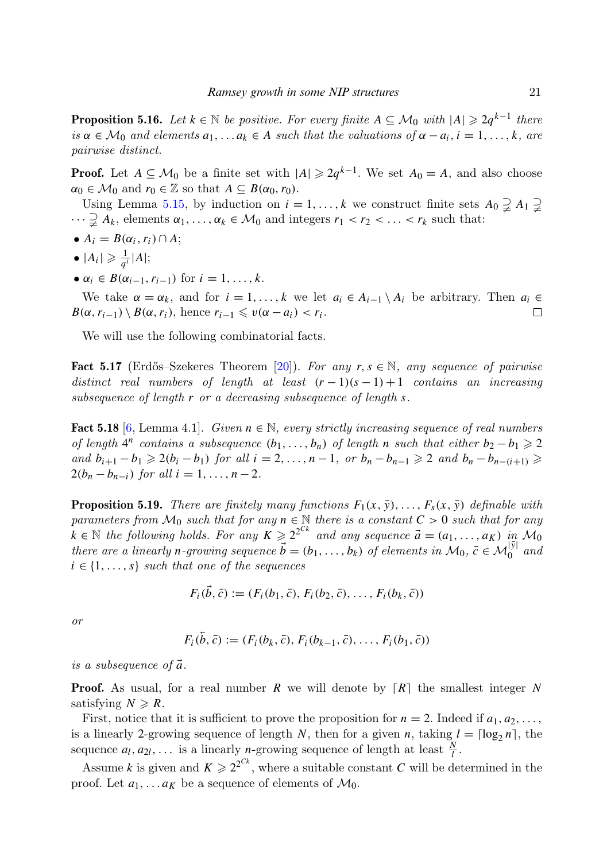**Proposition 5.16.** Let  $k \in \mathbb{N}$  be positive. For every finite  $A \subseteq \mathcal{M}_0$  with  $|A| \geq 2q^{k-1}$  there is  $\alpha \in \mathcal{M}_0$  and elements  $a_1, \ldots, a_k \in A$  such that the valuations of  $\alpha - a_i, i = 1, \ldots, k$ , are pairwise distinct.

**Proof.** Let  $A \subseteq \mathcal{M}_0$  be a finite set with  $|A| \geq 2q^{k-1}$ . We set  $A_0 = A$ , and also choose  $\alpha_0 \in \mathcal{M}_0$  and  $r_0 \in \mathbb{Z}$  so that  $A \subseteq B(\alpha_0, r_0)$ .

Using Lemma [5.15,](#page-19-0) by induction on  $i = 1, ..., k$  we construct finite sets  $A_0 \supsetneq A_1 \supsetneq A_2$  $\cdots \supsetneq A_k$ , elements  $\alpha_1, \ldots, \alpha_k \in \mathcal{M}_0$  and integers  $r_1 < r_2 < \ldots < r_k$  such that:

- $A_i = B(\alpha_i, r_i) \cap A;$
- $\bullet$   $|A_i| \geqslant \frac{1}{a^i}$  $\frac{1}{q^i}$ |*A*|;
- $\bullet \ \alpha_i \in B(\alpha_{i-1}, r_{i-1}) \text{ for } i = 1, ..., k.$

We take  $\alpha = \alpha_k$ , and for  $i = 1, \ldots, k$  we let  $a_i \in A_{i-1} \setminus A_i$  be arbitrary. Then  $a_i \in A_i$  $B(\alpha, r_{i-1}) \setminus B(\alpha, r_i)$ , hence  $r_{i-1} \leq v(\alpha - a_i) < r_i$ .  $\Box$ 

<span id="page-20-0"></span>We will use the following combinatorial facts.

**Fact 5.17** (Erdős–Szekeres Theorem [\[20\]](#page-27-21)). For any  $r, s \in \mathbb{N}$ , any sequence of pairwise distinct real numbers of length at least  $(r-1)(s-1)+1$  contains an increasing subsequence of length *r* or a decreasing subsequence of length *s*.

<span id="page-20-1"></span>Fact 5.18 [\[6,](#page-26-2) Lemma 4.1]. Given  $n \in \mathbb{N}$ , every strictly increasing sequence of real numbers of length  $4^n$  contains a subsequence  $(b_1, \ldots, b_n)$  of length *n* such that either  $b_2 - b_1 \geq 2$ and  $b_{i+1} - b_1 \geq 2(b_i - b_1)$  for all  $i = 2, ..., n-1$ , or  $b_n - b_{n-1} \geq 2$  and  $b_n - b_{n-(i+1)} \geq 2$  $2(b_n - b_{n-i})$  for all  $i = 1, ..., n-2$ .

<span id="page-20-2"></span>**Proposition 5.19.** There are finitely many functions  $F_1(x, \bar{y}), \ldots, F_s(x, \bar{y})$  definable with parameters from  $\mathcal{M}_0$  such that for any  $n \in \mathbb{N}$  there is a constant  $C > 0$  such that for any  $k \in \mathbb{N}$  the following holds. For any  $K \ge 2^{2^{Ck}}$  and any sequence  $\vec{a} = (a_1, \ldots, a_K)$  in  $\mathcal{M}_0$ there are a linearly *n*-growing sequence  $\vec{b} = (b_1, \ldots, b_k)$  of elements in  $\mathcal{M}_0$ ,  $\vec{c} \in \mathcal{M}_0^{|\vec{y}|}$  and  $i \in \{1, \ldots, s\}$  such that one of the sequences

$$
F_i(\vec{b}, \vec{c}) := (F_i(b_1, \vec{c}), F_i(b_2, \vec{c}), \dots, F_i(b_k, \vec{c}))
$$

or

$$
F_i(\overline{b}, \overline{c}) := (F_i(b_k, \overline{c}), F_i(b_{k-1}, \overline{c}), \ldots, F_i(b_1, \overline{c}))
$$

is a subsequence of  $\vec{a}$ .

**Proof.** As usual, for a real number *R* we will denote by  $\lceil R \rceil$  the smallest integer *N* satisfying  $N \ge R$ .

First, notice that it is sufficient to prove the proposition for  $n = 2$ . Indeed if  $a_1, a_2, \ldots$ , is a linearly 2-growing sequence of length *N*, then for a given *n*, taking  $l = \lceil \log_2 n \rceil$ , the sequence  $a_l, a_{2l}, \ldots$  is a linearly *n*-growing sequence of length at least  $\frac{N}{l}$ .

Assume *k* is given and  $K \ge 2^{2^{Ck}}$ , where a suitable constant *C* will be determined in the proof. Let  $a_1, \ldots a_k$  be a sequence of elements of  $\mathcal{M}_0$ .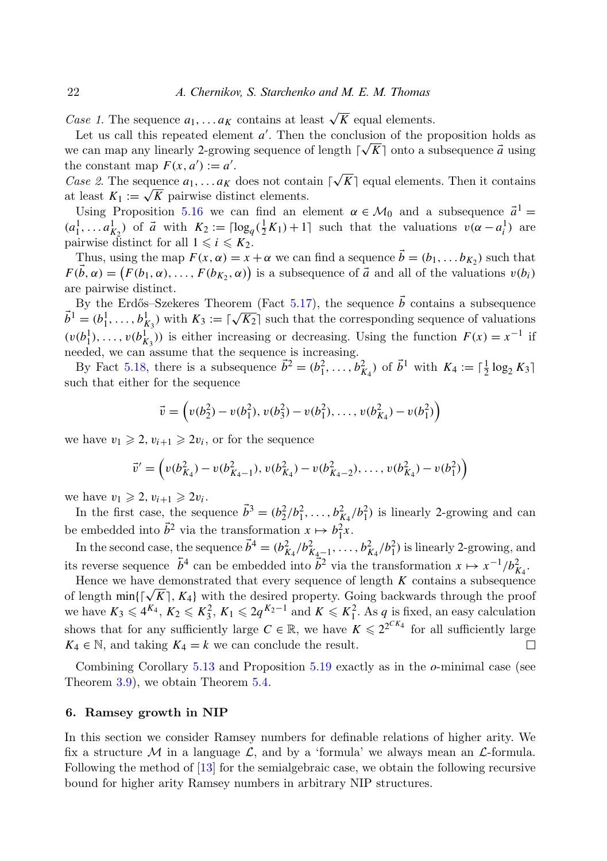*Case 1*. The sequence  $a_1, \ldots, a_k$  contains at least  $\sqrt{K}$  equal elements.

Let us call this repeated element  $a'$ . Then the conclusion of the proposition holds as we can map any linearly 2-growing sequence of length  $\lceil \sqrt{K} \rceil$  onto a subsequence  $\vec{a}$  using the constant map  $F(x, a') := a'$ . √

*Case 2.* The sequence  $a_1, \ldots, a_K$  does not contain  $\lceil$  $K$ ] equal elements. Then it contains Case z. The sequence  $a_1, \ldots, a_K$  does not contain<br>at least  $K_1 := \sqrt{K}$  pairwise distinct elements.

Using Proposition [5.16](#page-19-1) we can find an element  $\alpha \in \mathcal{M}_0$  and a subsequence  $\vec{a}^1$  $(a_1^1, \ldots, a_{K_2}^1)$  of  $\vec{a}$  with  $K_2 := \lceil \log_q(\frac{1}{2}K_1) + 1 \rceil$  such that the valuations  $v(\alpha - a_i^1)$  are pairwise distinct for all  $1 \leq i \leq K_2$ .

Thus, using the map  $F(x, \alpha) = x + \alpha$  we can find a sequence  $\vec{b} = (b_1, \ldots, b_{K_2})$  such that  $F(\vec{b}, \alpha) = (F(b_1, \alpha), \dots, F(b_{K_2}, \alpha))$  is a subsequence of  $\vec{a}$  and all of the valuations  $v(b_i)$ are pairwise distinct.

By the Erdős–Szekeres Theorem (Fact [5.17\)](#page-20-0), the sequence  $\vec{b}$  contains a subsequence  $\vec{b}^1 = (b_1^1, \ldots, b_{K_3}^1)$  with  $K_3 := [\sqrt{K_2}]$  such that the corresponding sequence of valuations  $(v(b_1^1), \ldots, v(b_{K_3}^1))$  is either increasing or decreasing. Using the function  $F(x) = x^{-1}$  if needed, we can assume that the sequence is increasing.

By Fact [5.18,](#page-20-1) there is a subsequence  $\vec{b}^2 = (b_1^2, \ldots, b_{K_4}^2)$  of  $\vec{b}^1$  with  $K_4 := \lceil \frac{1}{2} \log_2 K_3 \rceil$ such that either for the sequence

$$
\vec{v} = \left(v(b_2^2) - v(b_1^2), v(b_3^2) - v(b_1^2), \dots, v(b_{K_4}^2) - v(b_1^2)\right)
$$

we have  $v_1 \geq 2$ ,  $v_{i+1} \geq 2v_i$ , or for the sequence

$$
\vec{v}' = \left(v(b_{K_4}^2) - v(b_{K_4-1}^2), v(b_{K_4}^2) - v(b_{K_4-2}^2), \dots, v(b_{K_4}^2) - v(b_1^2)\right)
$$

we have  $v_1 \geqslant 2$ ,  $v_{i+1} \geqslant 2v_i$ .

In the first case, the sequence  $\vec{b}^3 = (b_2^2/b_1^2, \ldots, b_{K_4}^2/b_1^2)$  is linearly 2-growing and can be embedded into  $\vec{b}^2$  via the transformation  $x \mapsto b_1^2 x$ .

In the second case, the sequence  $\vec{b}^4 = (b_{K_4}^2/b_{K_4-1}^2, \ldots, b_{K_4}^2/b_1^2)$  is linearly 2-growing, and its reverse sequence  $\bar{b}^4$  can be embedded into  $\bar{b}^2$  via the transformation  $x \mapsto x^{-1}/b_{K_4}^2$ .

Hence we have demonstrated that every sequence of length  $K$  contains a subsequence Hence we have demonstrated that every sequence of length  $K$  contains a subsequence of length min $\{\lceil \sqrt{K} \rceil, K_4\}$  with the desired property. Going backwards through the proof we have  $K_3 \leq 4^{K_4}$ ,  $K_2 \leq K_3^2$ ,  $K_1 \leq 2q^{K_2-1}$  and  $K \leq K_1^2$ . As *q* is fixed, an easy calculation shows that for any sufficiently large  $C \in \mathbb{R}$ , we have  $K \leq 2^{2^{CK_4}}$  for all sufficiently large  $K_4 \in \mathbb{N}$ , and taking  $K_4 = k$  we can conclude the result. П

Combining Corollary [5.13](#page-19-2) and Proposition [5.19](#page-20-2) exactly as in the *o*-minimal case (see Theorem [3.9\)](#page-10-2), we obtain Theorem [5.4.](#page-16-4)

# <span id="page-21-0"></span>6. Ramsey growth in NIP

In this section we consider Ramsey numbers for definable relations of higher arity. We fix a structure M in a language L, and by a 'formula' we always mean an L-formula. Following the method of [\[13\]](#page-26-1) for the semialgebraic case, we obtain the following recursive bound for higher arity Ramsey numbers in arbitrary NIP structures.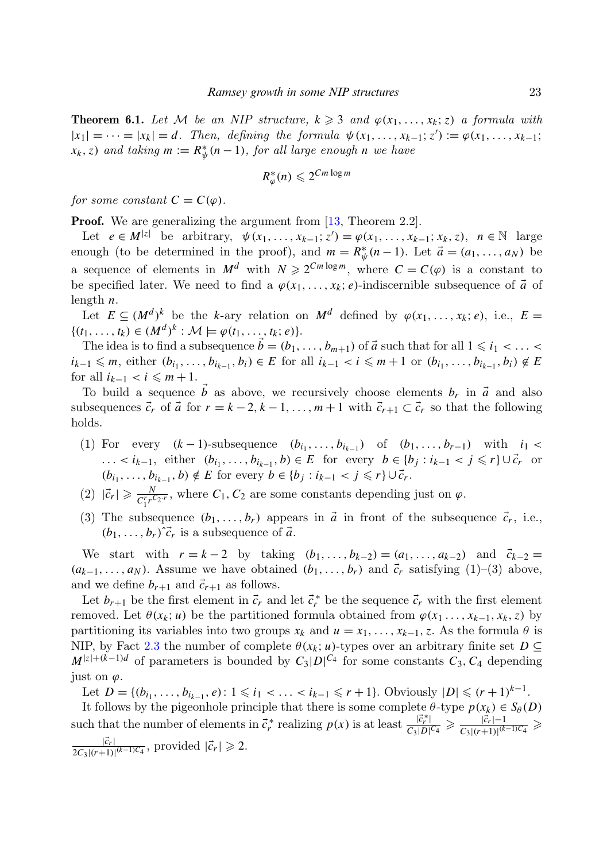<span id="page-22-0"></span>**Theorem 6.1.** Let M be an NIP structure,  $k \geqslant 3$  and  $\varphi(x_1, \ldots, x_k; z)$  a formula with  $|x_1| = \cdots = |x_k| = d$ . Then, defining the formula  $\psi(x_1, \ldots, x_{k-1}; z') := \varphi(x_1, \ldots, x_{k-1}; z')$  $f(x_k, z)$  and taking  $m := R^*_{\psi}(n-1)$ , for all large enough *n* we have

$$
R^*_{\varphi}(n) \leqslant 2^{Cm \log m}
$$

for some constant  $C = C(\varphi)$ .

**Proof.** We are generalizing the argument from [\[13,](#page-26-1) Theorem 2.2].

Let  $e \in M^{|z|}$  be arbitrary,  $\psi(x_1, ..., x_{k-1}; z') = \varphi(x_1, ..., x_{k-1}; x_k, z)$ ,  $n \in \mathbb{N}$  large enough (to be determined in the proof), and  $m = R^*_{\psi}(n-1)$ . Let  $\vec{a} = (a_1, \ldots, a_N)$  be a sequence of elements in  $M^d$  with  $N \geq 2^{Cm \log m}$ , where  $C = C(\varphi)$  is a constant to be specified later. We need to find a  $\varphi(x_1, \ldots, x_k; e)$ -indiscernible subsequence of  $\vec{a}$  of length *n*.

Let  $E \subseteq (M^d)^k$  be the *k*-ary relation on  $M^d$  defined by  $\varphi(x_1, \ldots, x_k; e)$ , i.e.,  $E =$  $\{(t_1, ..., t_k) \in (M^d)^k : \mathcal{M} \models \varphi(t_1, ..., t_k; e)\}.$ 

The idea is to find a subsequence  $\vec{b} = (b_1, \ldots, b_{m+1})$  of  $\vec{a}$  such that for all  $1 \leq i_1 < \ldots <$  $i_{k-1} \leq m$ , either  $(b_{i_1}, \ldots, b_{i_{k-1}}, b_i) \in E$  for all  $i_{k-1} < i \leq m+1$  or  $(b_{i_1}, \ldots, b_{i_{k-1}}, b_i) \notin E$ for all  $i_{k-1} < i \leq m+1$ .

To build a sequence  $\vec{b}$  as above, we recursively choose elements  $b_r$  in  $\vec{a}$  and also subsequences  $\vec{c}_r$  of  $\vec{a}$  for  $r = k - 2, k - 1, \ldots, m + 1$  with  $\vec{c}_{r+1} \subset \vec{c}_r$  so that the following holds.

- (1) For every  $(k-1)$ -subsequence  $(b_{i_1},...,b_{i_{k-1}})$  of  $(b_1,...,b_{r-1})$  with  $i_1 <$ ... < *i*<sub>*k*−1</sub>, either  $(b_{i_1},...,b_{i_{k-1}},b) \in E$  for every  $b \in \{b_j : i_{k-1} < j \leq r\} \cup \vec{c}_r$  or  $(b_{i_1}, \ldots, b_{i_{k-1}}, b) \notin E$  for every  $b \in \{b_j : i_{k-1} < j \leq r\} \cup \vec{c}_r$ .
- $(2)$   $|\vec{c}_r| \geqslant \frac{N}{C^r r^Q}$  $\frac{N}{C_1' r^{C_2 r}}$ , where  $C_1$ ,  $C_2$  are some constants depending just on  $\varphi$ .
- (3) The subsequence  $(b_1, \ldots, b_r)$  appears in  $\vec{a}$  in front of the subsequence  $\vec{c}_r$ , i.e.,  $(b_1, \ldots, b_r)^c c_r$  is a subsequence of  $\vec{a}$ .

We start with  $r = k - 2$  by taking  $(b_1, \ldots, b_{k-2}) = (a_1, \ldots, a_{k-2})$  and  $\vec{c}_{k-2} =$  $(a_{k-1}, \ldots, a_N)$ . Assume we have obtained  $(b_1, \ldots, b_r)$  and  $\vec{c}_r$  satisfying (1)–(3) above, and we define  $b_{r+1}$  and  $\vec{c}_{r+1}$  as follows.

Let  $b_{r+1}$  be the first element in  $\vec{c}_r$  and let  $\vec{c}_r^*$  be the sequence  $\vec{c}_r$  with the first element removed. Let  $\theta(x_k; u)$  be the partitioned formula obtained from  $\varphi(x_1, \ldots, x_{k-1}, x_k, z)$  by partitioning its variables into two groups  $x_k$  and  $u = x_1, \ldots, x_{k-1}$ , z. As the formula  $\theta$  is NIP, by Fact [2.3](#page-6-2) the number of complete  $\theta(x_k; u)$ -types over an arbitrary finite set  $D \subseteq$  $M^{|z|+(k-1)d}$  of parameters is bounded by  $C_3|D|^{C_4}$  for some constants  $C_3, C_4$  depending just on  $\varphi$ .

Let  $D = \{(b_{i_1}, \ldots, b_{i_{k-1}}, e): 1 \leq i_1 < \ldots < i_{k-1} \leq r+1\}$ . Obviously  $|D| \leq (r+1)^{k-1}$ .

It follows by the pigeonhole principle that there is some complete  $\theta$ -type  $p(x_k) \in S_\theta(D)$ such that the number of elements in  $\vec{c}_r^*$  realizing  $p(x)$  is at least  $\frac{|\vec{c}_r^*|}{C_2|D|}$  $\frac{|\vec{c}_r|^2}{C_3|D|^{\overline{C_4}}} \geq \frac{|\vec{c}_r|-1}{C_3|(r+1)|^{(k)}}$  $\frac{|\vec{c}_r| - 1}{C_3 |(r+1)|^{(k-1)C_4}} \geq$  $|\vec{c}_r|$  $\frac{|\vec{c}_r|}{2C_3|(r+1)|^{(k-1)C_4}}$ , provided  $|\vec{c}_r|$  ≥ 2.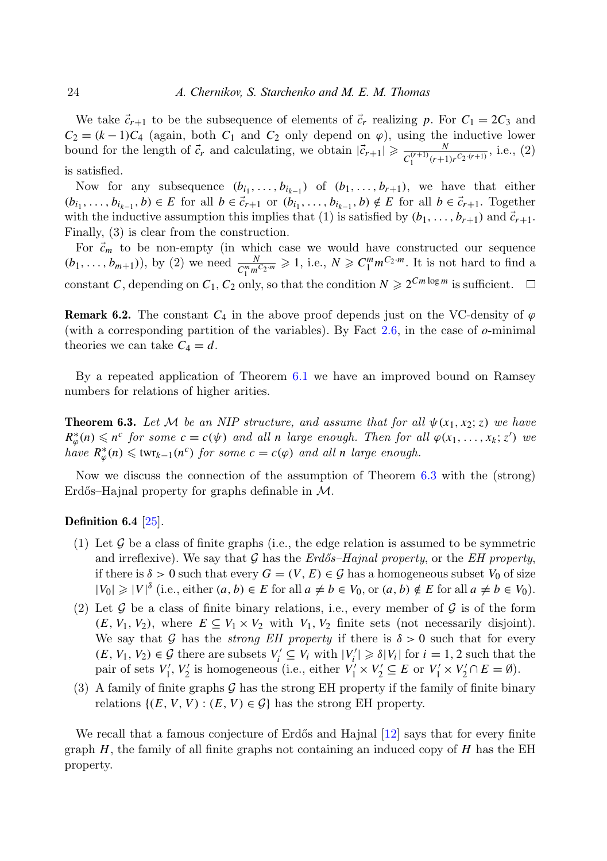We take  $\vec{c}_{r+1}$  to be the subsequence of elements of  $\vec{c}_r$  realizing p. For  $C_1 = 2C_3$  and  $C_2 = (k-1)C_4$  (again, both  $C_1$  and  $C_2$  only depend on  $\varphi$ ), using the inductive lower bound for the length of  $\vec{c}_r$  and calculating, we obtain  $|\vec{c}_{r+1}| \geq \frac{N}{C^{(r+1)}(r+1)}$  $\frac{N}{C_1^{(r+1)}(r+1)r^{C_2\cdot(r+1)}},$  i.e., (2) is satisfied.

Now for any subsequence  $(b_{i_1}, \ldots, b_{i_{k-1}})$  of  $(b_1, \ldots, b_{r+1})$ , we have that either  $(b_{i_1},\ldots,b_{i_{k-1}},b)\in E$  for all  $b\in\vec{c}_{r+1}$  or  $(b_{i_1},\ldots,b_{i_{k-1}},b)\notin E$  for all  $b\in\vec{c}_{r+1}$ . Together with the inductive assumption this implies that (1) is satisfied by  $(b_1, \ldots, b_{r+1})$  and  $\vec{c}_{r+1}$ . Finally, (3) is clear from the construction.

For  $\vec{c}_m$  to be non-empty (in which case we would have constructed our sequence  $(b_1, \ldots, b_{m+1}),$  by (2) we need  $\frac{N}{C_1^m m^{C_2 \cdot m}} \geq 1$ , i.e.,  $N \geq C_1^m m^{C_2 \cdot m}$ . It is not hard to find a constant *C*, depending on  $C_1$ ,  $C_2$  only, so that the condition  $N \geq 2^{Cm \log m}$  is sufficient.  $\Box$ 

**Remark 6.2.** The constant  $C_4$  in the above proof depends just on the VC-density of  $\varphi$ (with a corresponding partition of the variables). By Fact [2.6,](#page-6-3) in the case of *o*-minimal theories we can take  $C_4 = d$ .

By a repeated application of Theorem [6.1](#page-22-0) we have an improved bound on Ramsey numbers for relations of higher arities.

<span id="page-23-1"></span>**Theorem 6.3.** Let M be an NIP structure, and assume that for all  $\psi(x_1, x_2; z)$  we have  $R^*_{\varphi}(n) \leqslant n^c$  for some  $c = c(\psi)$  and all *n* large enough. Then for all  $\varphi(x_1, \ldots, x_k; z')$  we  $h \circ k \circ R^*_{\varphi}(n) \leq \text{twr}_{k-1}(n^c)$  *for some*  $c = c(\varphi)$  *and all n large enough.* 

Now we discuss the connection of the assumption of Theorem [6.3](#page-23-1) with the (strong) Erdős–Hajnal property for graphs definable in  $\mathcal{M}$ .

## <span id="page-23-0"></span>Definition 6.4  $\vert 25 \vert$ .

- (1) Let  $\mathcal G$  be a class of finite graphs (i.e., the edge relation is assumed to be symmetric and irreflexive). We say that G has the  $Erd\ddot{\sigma}$ -Hajnal property, or the EH property, if there is  $\delta > 0$  such that every  $G = (V, E) \in \mathcal{G}$  has a homogeneous subset  $V_0$  of size  $|V_0| \geq |V|^{\delta}$  (i.e., either  $(a, b) \in E$  for all  $a \neq b \in V_0$ , or  $(a, b) \notin E$  for all  $a \neq b \in V_0$ ).
- (2) Let G be a class of finite binary relations, i.e., every member of G is of the form  $(E, V_1, V_2)$ , where  $E \subseteq V_1 \times V_2$  with  $V_1, V_2$  finite sets (not necessarily disjoint). We say that G has the *strong EH property* if there is  $\delta > 0$  such that for every  $(E, V_1, V_2) \in \mathcal{G}$  there are subsets  $V_i' \subseteq V_i$  with  $|V_i'| \geq \delta |V_i|$  for  $i = 1, 2$  such that the pair of sets  $V'_1, V'_2$  is homogeneous (i.e., either  $V'_1 \times V'_2 \subseteq E$  or  $V'_1 \times V'_2 \cap E = \emptyset$ ).
- (3) A family of finite graphs  $\mathcal G$  has the strong EH property if the family of finite binary relations  $\{(E, V, V) : (E, V) \in \mathcal{G}\}\$ has the strong EH property.

<span id="page-23-2"></span>We recall that a famous conjecture of Erdős and Hajnal  $[12]$  says that for every finite graph  $H$ , the family of all finite graphs not containing an induced copy of  $H$  has the EH property.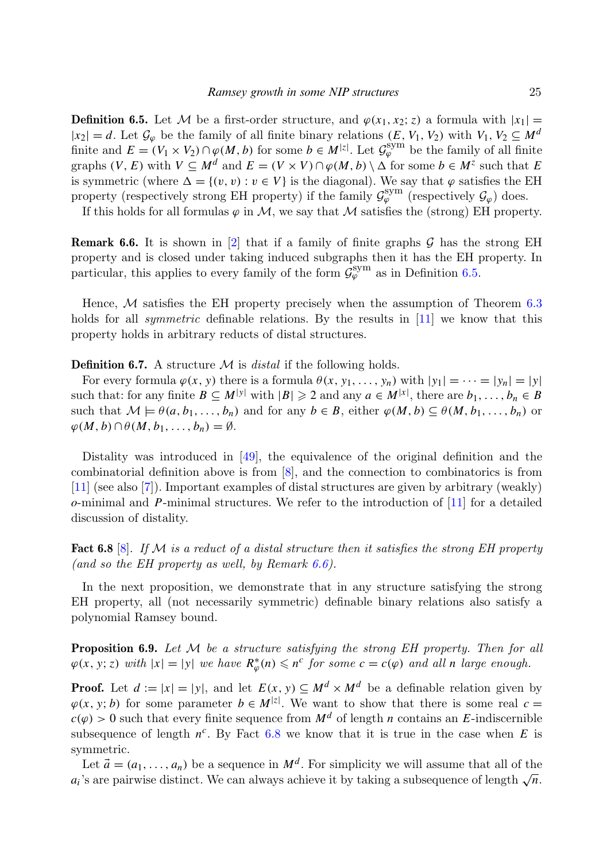**Definition 6.5.** Let M be a first-order structure, and  $\varphi(x_1, x_2; z)$  a formula with  $|x_1|$  =  $|x_2| = d$ . Let  $\mathcal{G}_{\varphi}$  be the family of all finite binary relations  $(E, V_1, V_2)$  with  $V_1, V_2 \subseteq M^d$ finite and  $E = (V_1 \times V_2) \cap \varphi(M, b)$  for some  $b \in M^{|z|}$ . Let  $\mathcal{G}_{\varphi}^{\text{sym}}$  be the family of all finite graphs  $(V, E)$  with  $V \subseteq M^d$  and  $E = (V \times V) \cap \varphi(M, b) \setminus \Delta$  for some  $b \in M^z$  such that *E* is symmetric (where  $\Delta = \{(v, v) : v \in V\}$  is the diagonal). We say that  $\varphi$  satisfies the EH property (respectively strong EH property) if the family  $\mathcal{G}_{\varphi}^{\text{sym}}$  (respectively  $\mathcal{G}_{\varphi}$ ) does.

If this holds for all formulas  $\varphi$  in M, we say that M satisfies the (strong) EH property.

<span id="page-24-1"></span>**Remark 6.6.** It is shown in [\[2\]](#page-26-0) that if a family of finite graphs  $G$  has the strong EH property and is closed under taking induced subgraphs then it has the EH property. In particular, this applies to every family of the form  $\mathcal{G}_{\varphi}^{\text{sym}}$  as in Definition [6.5.](#page-23-2)

Hence,  $M$  satisfies the EH property precisely when the assumption of Theorem [6.3](#page-23-1) holds for all *symmetric* definable relations. By the results in [\[11\]](#page-26-3) we know that this property holds in arbitrary reducts of distal structures.

<span id="page-24-0"></span>**Definition 6.7.** A structure  $M$  is *distal* if the following holds.

For every formula  $\varphi(x, y)$  there is a formula  $\theta(x, y_1, \ldots, y_n)$  with  $|y_1| = \cdots = |y_n| = |y|$ such that: for any finite  $B \subseteq M^{|y|}$  with  $|B| \geq 2$  and any  $a \in M^{|x|}$ , there are  $b_1, \ldots, b_n \in B$ such that  $M \models \theta(a, b_1, \ldots, b_n)$  and for any  $b \in B$ , either  $\varphi(M, b) \subseteq \theta(M, b_1, \ldots, b_n)$  or  $\varphi(M, b) \cap \theta(M, b_1, \ldots, b_n) = \emptyset.$ 

Distality was introduced in [\[49\]](#page-28-14), the equivalence of the original definition and the combinatorial definition above is from [\[8\]](#page-26-9), and the connection to combinatorics is from [\[11\]](#page-26-3) (see also [\[7\]](#page-26-11)). Important examples of distal structures are given by arbitrary (weakly) *o*-minimal and *P*-minimal structures. We refer to the introduction of [\[11\]](#page-26-3) for a detailed discussion of distality.

<span id="page-24-3"></span>**Fact 6.8** [\[8\]](#page-26-9). If M is a reduct of a distal structure then it satisfies the strong EH property (and so the EH property as well, by Remark  $6.6$ ).

In the next proposition, we demonstrate that in any structure satisfying the strong EH property, all (not necessarily symmetric) definable binary relations also satisfy a polynomial Ramsey bound.

<span id="page-24-2"></span>**Proposition 6.9.** Let  $M$  be a structure satisfying the strong EH property. Then for all  $\varphi(x, y; z)$  with  $|x| = |y|$  we have  $R^*_{\varphi}(n) \leqslant n^c$  for some  $c = c(\varphi)$  and all *n* large enough.

**Proof.** Let  $d := |x| = |y|$ , and let  $E(x, y) \subseteq M^d \times M^d$  be a definable relation given by  $\varphi(x, y; b)$  for some parameter  $b \in M^{z}$ . We want to show that there is some real  $c =$  $c(\varphi) > 0$  such that every finite sequence from  $M^d$  of length *n* contains an *E*-indiscernible subsequence of length  $n^c$ . By Fact [6.8](#page-24-3) we know that it is true in the case when *E* is symmetric.

Let  $\vec{a} = (a_1, \ldots, a_n)$  be a sequence in  $M^d$ . For simplicity we will assume that all of the Let  $u = (a_1, \ldots, a_n)$  be a sequence in  $M^{\sim}$ . For simplicity we will assume that an or the  $a_i$ 's are pairwise distinct. We can always achieve it by taking a subsequence of length  $\sqrt{n}$ .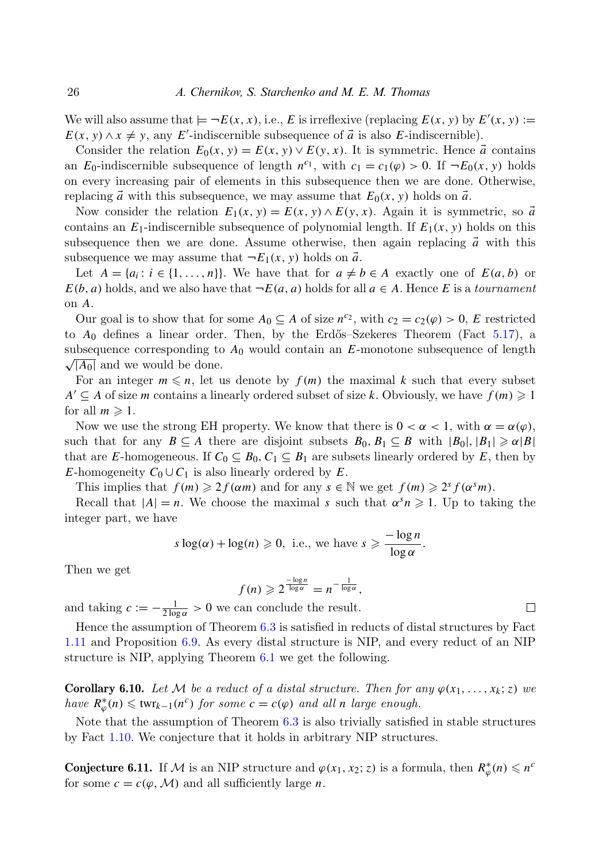We will also assume that  $\models \neg E(x, x)$ , i.e., *E* is irreflexive (replacing  $E(x, y)$  by  $E'(x, y) :=$  $E(x, y) \wedge x \neq y$ , any *E*'-indiscernible subsequence of  $\vec{a}$  is also *E*-indiscernible).

Consider the relation  $E_0(x, y) = E(x, y) \vee E(y, x)$ . It is symmetric. Hence  $\vec{a}$  contains an *E*<sub>0</sub>-indiscernible subsequence of length  $n^{c_1}$ , with  $c_1 = c_1(\varphi) > 0$ . If  $\neg E_0(x, y)$  holds on every increasing pair of elements in this subsequence then we are done. Otherwise, replacing  $\vec{a}$  with this subsequence, we may assume that  $E_0(x, y)$  holds on  $\vec{a}$ .

Now consider the relation  $E_1(x, y) = E(x, y) \wedge E(y, x)$ . Again it is symmetric, so  $\vec{a}$ contains an  $E_1$ -indiscernible subsequence of polynomial length. If  $E_1(x, y)$  holds on this subsequence then we are done. Assume otherwise, then again replacing  $\vec{a}$  with this subsequence we may assume that  $\neg E_1(x, y)$  holds on  $\vec{a}$ .

Let  $A = \{a_i : i \in \{1, ..., n\}\}$ . We have that for  $a \neq b \in A$  exactly one of  $E(a, b)$  or  $E(b, a)$  holds, and we also have that  $\neg E(a, a)$  holds for all  $a \in A$ . Hence *E* is a *tournament* on *A*.

Our goal is to show that for some  $A_0 \subseteq A$  of size  $n^{c_2}$ , with  $c_2 = c_2(\varphi) > 0$ , *E* restricted to  $A_0$  defines a linear order. Then, by the Erdős–Szekeres Theorem (Fact [5.17\)](#page-20-0), a subsequence corresponding to  $A_0$  would contain an  $E$ -monotone subsequence of length  $\sqrt{|A_0|}$  and we would be done.

For an integer  $m \leq n$ , let us denote by  $f(m)$  the maximal k such that every subset *A*<sup> $\prime$ </sup> ⊆ *A* of size *m* contains a linearly ordered subset of size *k*. Obviously, we have  $f(m)$  ≥ 1 for all  $m \geq 1$ .

Now we use the strong EH property. We know that there is  $0 < \alpha < 1$ , with  $\alpha = \alpha(\varphi)$ , such that for any  $B \subseteq A$  there are disjoint subsets  $B_0, B_1 \subseteq B$  with  $|B_0|, |B_1| \ge \alpha |B|$ that are *E*-homogeneous. If  $C_0 \subseteq B_0$ ,  $C_1 \subseteq B_1$  are subsets linearly ordered by *E*, then by *E*-homogeneity  $C_0 \cup C_1$  is also linearly ordered by *E*.

This implies that  $f(m) \geq 2f(\alpha m)$  and for any  $s \in \mathbb{N}$  we get  $f(m) \geq 2^s f(\alpha^s m)$ .

Recall that  $|A| = n$ . We choose the maximal *s* such that  $\alpha^{s} n \geq 1$ . Up to taking the integer part, we have

$$
s \log(\alpha) + \log(n) \ge 0
$$
, i.e., we have  $s \ge \frac{-\log n}{\log \alpha}$ .

Then we get

$$
f(n) \geqslant 2^{\frac{-\log n}{\log \alpha}} = n^{-\frac{1}{\log \alpha}},
$$

and taking  $c := -\frac{1}{2 \log \alpha} > 0$  we can conclude the result.

Hence the assumption of Theorem [6.3](#page-23-1) is satisfied in reducts of distal structures by Fact [1.11](#page-3-1) and Proposition [6.9.](#page-24-2) As every distal structure is NIP, and every reduct of an NIP structure is NIP, applying Theorem [6.1](#page-22-0) we get the following.

**Corollary 6.10.** Let M be a reduct of a distal structure. Then for any  $\varphi(x_1, \ldots, x_k; z)$  we have  $R^*_{\varphi}(n) \leq \text{twr}_{k-1}(n^c)$  for some  $c = c(\varphi)$  and all *n* large enough.

Note that the assumption of Theorem [6.3](#page-23-1) is also trivially satisfied in stable structures by Fact [1.10.](#page-3-2) We conjecture that it holds in arbitrary NIP structures.

**Conjecture 6.11.** If M is an NIP structure and  $\varphi(x_1, x_2; z)$  is a formula, then  $R^*_{\varphi}(n) \leq n^c$ for some  $c = c(\varphi, \mathcal{M})$  and all sufficiently large *n*.

 $\Box$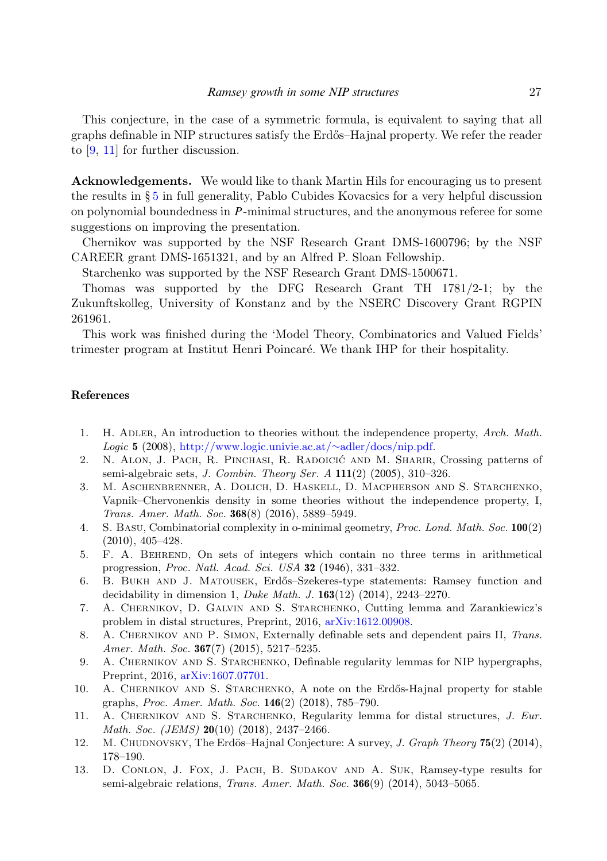This conjecture, in the case of a symmetric formula, is equivalent to saying that all graphs definable in NIP structures satisfy the Erd˝os–Hajnal property. We refer the reader to [\[9,](#page-26-12) [11\]](#page-26-3) for further discussion.

Acknowledgements. We would like to thank Martin Hils for encouraging us to present the results in § [5](#page-15-0) in full generality, Pablo Cubides Kovacsics for a very helpful discussion on polynomial boundedness in *P*-minimal structures, and the anonymous referee for some suggestions on improving the presentation.

Chernikov was supported by the NSF Research Grant DMS-1600796; by the NSF CAREER grant DMS-1651321, and by an Alfred P. Sloan Fellowship.

Starchenko was supported by the NSF Research Grant DMS-1500671.

Thomas was supported by the DFG Research Grant TH 1781/2-1; by the Zukunftskolleg, University of Konstanz and by the NSERC Discovery Grant RGPIN 261961.

This work was finished during the 'Model Theory, Combinatorics and Valued Fields' trimester program at Institut Henri Poincaré. We thank IHP for their hospitality.

#### References

- <span id="page-26-7"></span>1. H. ADLER, An introduction to theories without the independence property, Arch. Math. Logic 5 (2008), [http://www.logic.univie.ac.at/](http://www.logic.univie.ac.at/~adler/docs/nip.pdf)[∼](http://www.logic.univie.ac.at/~adler/docs/nip.pdf)[adler/docs/nip.pdf.](http://www.logic.univie.ac.at/~adler/docs/nip.pdf)
- <span id="page-26-0"></span>2. N. ALON, J. PACH, R. PINCHASI, R. RADOICIĆ AND M. SHARIR, Crossing patterns of semi-algebraic sets, J. Combin. Theory Ser. A 111(2) (2005), 310–326.
- <span id="page-26-8"></span>3. M. Aschenbrenner, A. Dolich, D. Haskell, D. Macpherson and S. Starchenko, Vapnik–Chervonenkis density in some theories without the independence property, I, Trans. Amer. Math. Soc. 368(8) (2016), 5889–5949.
- <span id="page-26-5"></span>4. S. Basu, Combinatorial complexity in o-minimal geometry, Proc. Lond. Math. Soc. 100(2) (2010), 405–428.
- <span id="page-26-10"></span>5. F. A. Behrend, On sets of integers which contain no three terms in arithmetical progression, Proc. Natl. Acad. Sci. USA 32 (1946), 331–332.
- <span id="page-26-2"></span>6. B. BUKH AND J. MATOUSEK, Erdős–Szekeres-type statements: Ramsey function and decidability in dimension 1, Duke Math. J. 163(12) (2014), 2243–2270.
- <span id="page-26-11"></span>7. A. Chernikov, D. Galvin and S. Starchenko, Cutting lemma and Zarankiewicz's problem in distal structures, Preprint, 2016, [arXiv:1612.00908.](http://www.arxiv.org/abs/1612.00908)
- <span id="page-26-9"></span>8. A. CHERNIKOV AND P. SIMON, Externally definable sets and dependent pairs II, Trans. Amer. Math. Soc. 367(7) (2015), 5217-5235.
- <span id="page-26-12"></span>9. A. CHERNIKOV AND S. STARCHENKO, Definable regularity lemmas for NIP hypergraphs, Preprint, 2016, [arXiv:1607.07701.](http://www.arxiv.org/abs/1607.07701)
- <span id="page-26-4"></span>10. A. CHERNIKOV AND S. STARCHENKO, A note on the Erdős-Hajnal property for stable graphs, Proc. Amer. Math. Soc. 146(2) (2018), 785–790.
- <span id="page-26-3"></span>11. A. CHERNIKOV AND S. STARCHENKO, Regularity lemma for distal structures, J. Eur. Math. Soc. (JEMS) 20(10) (2018), 2437-2466.
- <span id="page-26-6"></span>12. M. CHUDNOVSKY, The Erdös–Hajnal Conjecture: A survey, *J. Graph Theory* **75**(2) (2014), 178–190.
- <span id="page-26-1"></span>13. D. Conlon, J. Fox, J. Pach, B. Sudakov and A. Suk, Ramsey-type results for semi-algebraic relations, *Trans. Amer. Math. Soc.* **366**(9) (2014), 5043-5065.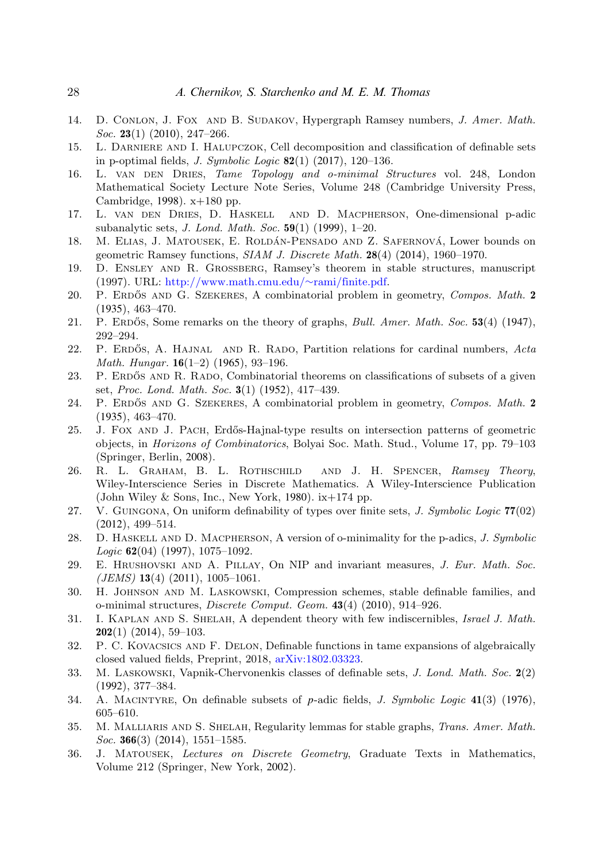- <span id="page-27-4"></span>14. D. Conlon, J. Fox and B. Sudakov, Hypergraph Ramsey numbers, J. Amer. Math. Soc. 23(1) (2010), 247-266.
- <span id="page-27-20"></span>15. L. Darniere and I. Halupczok, Cell decomposition and classification of definable sets in p-optimal fields, *J. Symbolic Logic*  $82(1)$  (2017), 120–136.
- <span id="page-27-10"></span>16. L. VAN DEN DRIES, Tame Topology and o-minimal Structures vol. 248, London Mathematical Society Lecture Note Series, Volume 248 (Cambridge University Press, Cambridge, 1998). x+180 pp.
- <span id="page-27-18"></span>17. L. van den Dries, D. Haskell and D. Macpherson, One-dimensional p-adic subanalytic sets, J. Lond. Math. Soc. 59(1) (1999), 1–20.
- <span id="page-27-6"></span>18. M. ELIAS, J. MATOUSEK, E. ROLDÁN-PENSADO AND Z. SAFERNOVÁ, Lower bounds on geometric Ramsey functions, SIAM J. Discrete Math. 28(4) (2014), 1960–1970.
- <span id="page-27-8"></span>19. D. Ensley and R. Grossberg, Ramsey's theorem in stable structures, manuscript (1997). URL: [http://www.math.cmu.edu/](http://www.math.cmu.edu/~rami/finite.pdf)[∼](http://www.math.cmu.edu/~rami/finite.pdf)[rami/finite.pdf.](http://www.math.cmu.edu/~rami/finite.pdf)
- <span id="page-27-21"></span>20. P. ERDŐS AND G. SZEKERES, A combinatorial problem in geometry, Compos. Math. 2 (1935), 463–470.
- <span id="page-27-0"></span>21. P. ERDOS, Some remarks on the theory of graphs, *Bull. Amer. Math. Soc.* 53(4) (1947), 292–294.
- <span id="page-27-2"></span>22. P. ERDÓS, A. HAJNAL AND R. RADO, Partition relations for cardinal numbers, Acta Math. Hungar. 16(1–2) (1965), 93–196.
- <span id="page-27-3"></span>23. P. ERDŐS AND R. RADO, Combinatorial theorems on classifications of subsets of a given set, Proc. Lond. Math. Soc. 3(1) (1952), 417–439.
- <span id="page-27-1"></span>24. P. ERDŐS AND G. SZEKERES, A combinatorial problem in geometry, Compos. Math. 2 (1935), 463–470.
- <span id="page-27-22"></span>25. J. FOX AND J. PACH, Erdős-Hajnal-type results on intersection patterns of geometric objects, in Horizons of Combinatorics, Bolyai Soc. Math. Stud., Volume 17, pp. 79–103 (Springer, Berlin, 2008).
- <span id="page-27-5"></span>26. R. L. GRAHAM, B. L. ROTHSCHILD AND J. H. SPENCER, Ramsey Theory, Wiley-Interscience Series in Discrete Mathematics. A Wiley-Interscience Publication (John Wiley & Sons, Inc., New York, 1980).  $ix+174$  pp.
- <span id="page-27-13"></span>27. V. GUINGONA, On uniform definability of types over finite sets, *J. Symbolic Logic*  $77(02)$ (2012), 499–514.
- <span id="page-27-17"></span>28. D. HASKELL AND D. MACPHERSON, A version of o-minimality for the p-adics, J. Symbolic  $Logic 62(04) (1997), 1075-1092.$
- <span id="page-27-15"></span>29. E. Hrushovski and A. Pillay, On NIP and invariant measures, J. Eur. Math. Soc.  $(JEMS)$  13(4) (2011), 1005-1061.
- <span id="page-27-14"></span>30. H. Johnson and M. Laskowski, Compression schemes, stable definable families, and o-minimal structures, Discrete Comput. Geom. 43(4) (2010), 914–926.
- <span id="page-27-7"></span>31. I. Kaplan and S. Shelah, A dependent theory with few indiscernibles, Israel J. Math.  $202(1)$  (2014), 59-103.
- <span id="page-27-19"></span>32. P. C. Kovacsics and F. Delon, Definable functions in tame expansions of algebraically closed valued fields, Preprint, 2018, [arXiv:1802.03323.](http://www.arxiv.org/abs/1802.03323)
- <span id="page-27-12"></span>33. M. Laskowski, Vapnik-Chervonenkis classes of definable sets, J. Lond. Math. Soc. 2(2) (1992), 377–384.
- <span id="page-27-16"></span>34. A. Macintyre, On definable subsets of *p*-adic fields, J. Symbolic Logic 41(3) (1976), 605–610.
- <span id="page-27-9"></span>35. M. Malliaris and S. Shelah, Regularity lemmas for stable graphs, Trans. Amer. Math. Soc. 366(3) (2014),  $1551-1585$ .
- <span id="page-27-11"></span>36. J. Matousek, Lectures on Discrete Geometry, Graduate Texts in Mathematics, Volume 212 (Springer, New York, 2002).